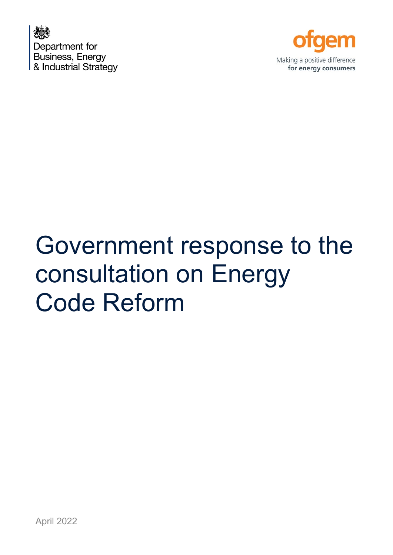



# Government response to the consultation on Energy Code Reform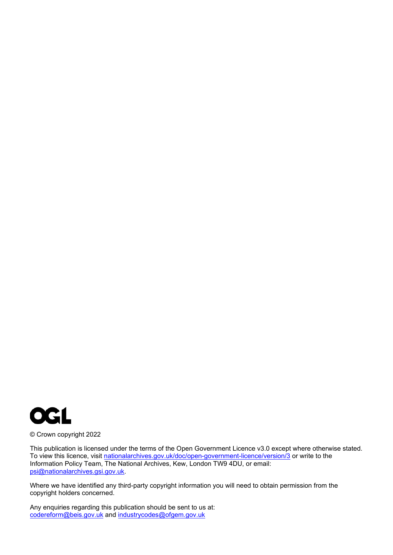

© Crown copyright 2022

This publication is licensed under the terms of the Open Government Licence v3.0 except where otherwise stated. To view this licence, visit [nationalarchives.gov.uk/doc/open-government-licence/version/3](http://nationalarchives.gov.uk/doc/open-government-licence/version/3/) or write to the Information Policy Team, The National Archives, Kew, London TW9 4DU, or email: [psi@nationalarchives.gsi.gov.uk.](mailto:psi@nationalarchives.gsi.gov.uk)

Where we have identified any third-party copyright information you will need to obtain permission from the copyright holders concerned.

Any enquiries regarding this publication should be sent to us at: [codereform@beis.gov.uk](mailto:codereform@beis.gov.uk) and [industrycodes@ofgem.gov.uk](mailto:industrycodes@ofgem.gov.uk)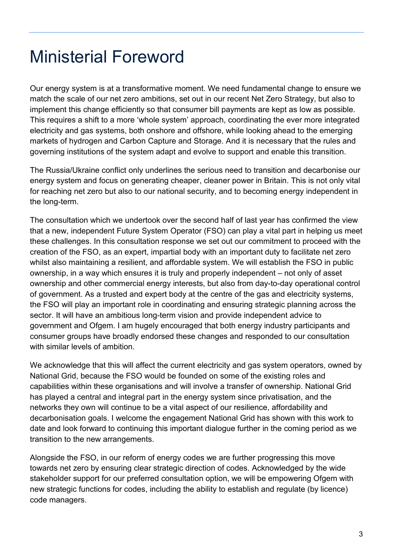## Ministerial Foreword

Our energy system is at a transformative moment. We need fundamental change to ensure we match the scale of our net zero ambitions, set out in our recent Net Zero Strategy, but also to implement this change efficiently so that consumer bill payments are kept as low as possible. This requires a shift to a more 'whole system' approach, coordinating the ever more integrated electricity and gas systems, both onshore and offshore, while looking ahead to the emerging markets of hydrogen and Carbon Capture and Storage. And it is necessary that the rules and governing institutions of the system adapt and evolve to support and enable this transition.

The Russia/Ukraine conflict only underlines the serious need to transition and decarbonise our energy system and focus on generating cheaper, cleaner power in Britain. This is not only vital for reaching net zero but also to our national security, and to becoming energy independent in the long-term.

The consultation which we undertook over the second half of last year has confirmed the view that a new, independent Future System Operator (FSO) can play a vital part in helping us meet these challenges. In this consultation response we set out our commitment to proceed with the creation of the FSO, as an expert, impartial body with an important duty to facilitate net zero whilst also maintaining a resilient, and affordable system. We will establish the FSO in public ownership, in a way which ensures it is truly and properly independent – not only of asset ownership and other commercial energy interests, but also from day-to-day operational control of government. As a trusted and expert body at the centre of the gas and electricity systems, the FSO will play an important role in coordinating and ensuring strategic planning across the sector. It will have an ambitious long-term vision and provide independent advice to government and Ofgem. I am hugely encouraged that both energy industry participants and consumer groups have broadly endorsed these changes and responded to our consultation with similar levels of ambition.

We acknowledge that this will affect the current electricity and gas system operators, owned by National Grid, because the FSO would be founded on some of the existing roles and capabilities within these organisations and will involve a transfer of ownership. National Grid has played a central and integral part in the energy system since privatisation, and the networks they own will continue to be a vital aspect of our resilience, affordability and decarbonisation goals. I welcome the engagement National Grid has shown with this work to date and look forward to continuing this important dialogue further in the coming period as we transition to the new arrangements.

Alongside the FSO, in our reform of energy codes we are further progressing this move towards net zero by ensuring clear strategic direction of codes. Acknowledged by the wide stakeholder support for our preferred consultation option, we will be empowering Ofgem with new strategic functions for codes, including the ability to establish and regulate (by licence) code managers.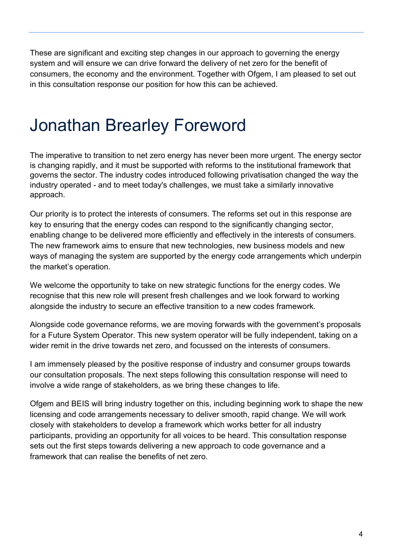These are significant and exciting step changes in our approach to governing the energy system and will ensure we can drive forward the delivery of net zero for the benefit of consumers, the economy and the environment. Together with Ofgem, I am pleased to set out in this consultation response our position for how this can be achieved.

## Jonathan Brearley Foreword

The imperative to transition to net zero energy has never been more urgent. The energy sector is changing rapidly, and it must be supported with reforms to the institutional framework that governs the sector. The industry codes introduced following privatisation changed the way the industry operated - and to meet today's challenges, we must take a similarly innovative approach.

Our priority is to protect the interests of consumers. The reforms set out in this response are key to ensuring that the energy codes can respond to the significantly changing sector, enabling change to be delivered more efficiently and effectively in the interests of consumers. The new framework aims to ensure that new technologies, new business models and new ways of managing the system are supported by the energy code arrangements which underpin the market's operation.

We welcome the opportunity to take on new strategic functions for the energy codes. We recognise that this new role will present fresh challenges and we look forward to working alongside the industry to secure an effective transition to a new codes framework.

Alongside code governance reforms, we are moving forwards with the government's proposals for a Future System Operator. This new system operator will be fully independent, taking on a wider remit in the drive towards net zero, and focussed on the interests of consumers.

I am immensely pleased by the positive response of industry and consumer groups towards our consultation proposals. The next steps following this consultation response will need to involve a wide range of stakeholders, as we bring these changes to life.

Ofgem and BEIS will bring industry together on this, including beginning work to shape the new licensing and code arrangements necessary to deliver smooth, rapid change. We will work closely with stakeholders to develop a framework which works better for all industry participants, providing an opportunity for all voices to be heard. This consultation response sets out the first steps towards delivering a new approach to code governance and a framework that can realise the benefits of net zero.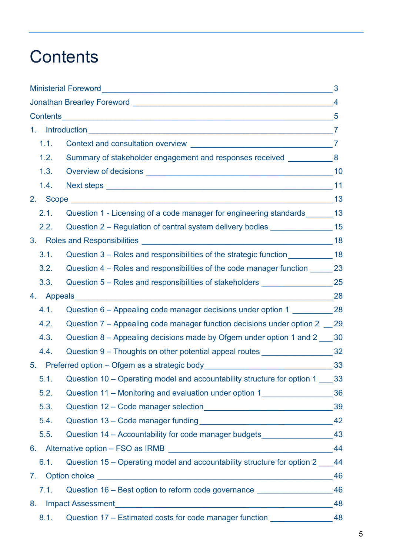## **Contents**

|      |                                                                                     | 3  |  |  |  |  |
|------|-------------------------------------------------------------------------------------|----|--|--|--|--|
|      |                                                                                     |    |  |  |  |  |
|      |                                                                                     |    |  |  |  |  |
|      |                                                                                     |    |  |  |  |  |
| 1.1. |                                                                                     |    |  |  |  |  |
| 1.2. | Summary of stakeholder engagement and responses received _____________ 8            |    |  |  |  |  |
| 1.3. |                                                                                     |    |  |  |  |  |
| 1.4. |                                                                                     |    |  |  |  |  |
|      |                                                                                     |    |  |  |  |  |
| 2.1. | Question 1 - Licensing of a code manager for engineering standards _______ 13       |    |  |  |  |  |
| 2.2. | Question 2 - Regulation of central system delivery bodies ________________ 15       |    |  |  |  |  |
|      |                                                                                     |    |  |  |  |  |
| 3.1. | Question 3 - Roles and responsibilities of the strategic function ____________ 18   |    |  |  |  |  |
| 3.2. | Question 4 – Roles and responsibilities of the code manager function _______ 23     |    |  |  |  |  |
| 3.3. | Question 5 - Roles and responsibilities of stakeholders ____________________25      |    |  |  |  |  |
|      |                                                                                     |    |  |  |  |  |
| 4.1. | Question 6 - Appealing code manager decisions under option 1 ___________ 28         |    |  |  |  |  |
| 4.2. | Question 7 – Appealing code manager function decisions under option 2 29            |    |  |  |  |  |
| 4.3. | Question 8 – Appealing decisions made by Ofgem under option 1 and 2 130             |    |  |  |  |  |
| 4.4. | Question 9 - Thoughts on other potential appeal routes ______________________32     |    |  |  |  |  |
|      | 5. Preferred option - Ofgem as a strategic body__________________________________33 |    |  |  |  |  |
|      | 5.1. Question 10 - Operating model and accountability structure for option 1 33     |    |  |  |  |  |
| 5.2. | Question 11 - Monitoring and evaluation under option 1_________________________36   |    |  |  |  |  |
| 5.3. |                                                                                     |    |  |  |  |  |
| 5.4. |                                                                                     |    |  |  |  |  |
| 5.5. | Question 14 - Accountability for code manager budgets_____________________43        |    |  |  |  |  |
|      |                                                                                     |    |  |  |  |  |
| 6.1. | Question 15 – Operating model and accountability structure for option 2 144         |    |  |  |  |  |
|      |                                                                                     | 46 |  |  |  |  |
| 7.1. | Question 16 - Best option to reform code governance ____________________________    | 46 |  |  |  |  |
|      | 48                                                                                  |    |  |  |  |  |
| 8.1. | Question 17 - Estimated costs for code manager function _____________________48     |    |  |  |  |  |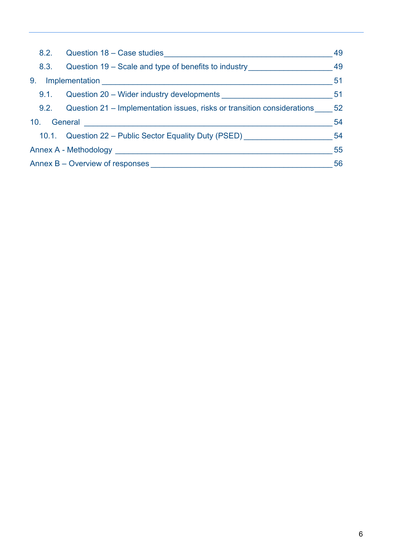|                | 8.2. | Question 18 - Case studies                                                                           | 49  |
|----------------|------|------------------------------------------------------------------------------------------------------|-----|
|                | 8.3. | Question 19 – Scale and type of benefits to industry                                                 | 49  |
| 9 <sub>1</sub> |      | Implementation                                                                                       | -51 |
|                | 9.1. | Question 20 – Wider industry developments                                                            | 51  |
|                |      | 9.2. Question 21 – Implementation issues, risks or transition considerations 52                      |     |
| 10.            |      | General 2008 2009 2010 2021 2022 2023 2024 2025 2026 2027 2028 2021 2022 2023 2024 2025 2026 2027 20 | 54  |
|                |      | 10.1. Question 22 – Public Sector Equality Duty (PSED)                                               | 54  |
|                |      | Annex A - Methodology                                                                                | 55  |
|                |      | Annex B – Overview of responses                                                                      | 56  |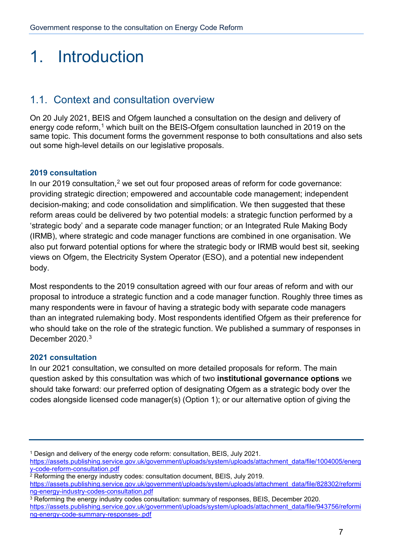## 1. Introduction

## 1.1. Context and consultation overview

On 20 July 2021, BEIS and Ofgem launched a consultation on the design and delivery of energy code reform,<sup>[1](#page-6-0)</sup> which built on the BEIS-Ofgem consultation launched in 2019 on the same topic. This document forms the government response to both consultations and also sets out some high-level details on our legislative proposals.

### **2019 consultation**

In our [2](#page-6-1)019 consultation,<sup>2</sup> we set out four proposed areas of reform for code governance: providing strategic direction; empowered and accountable code management; independent decision-making; and code consolidation and simplification. We then suggested that these reform areas could be delivered by two potential models: a strategic function performed by a 'strategic body' and a separate code manager function; or an Integrated Rule Making Body (IRMB), where strategic and code manager functions are combined in one organisation. We also put forward potential options for where the strategic body or IRMB would best sit, seeking views on Ofgem, the Electricity System Operator (ESO), and a potential new independent body.

Most respondents to the 2019 consultation agreed with our four areas of reform and with our proposal to introduce a strategic function and a code manager function. Roughly three times as many respondents were in favour of having a strategic body with separate code managers than an integrated rulemaking body. Most respondents identified Ofgem as their preference for who should take on the role of the strategic function. We published a summary of responses in December 2020.<sup>[3](#page-6-2)</sup>

### **2021 consultation**

In our 2021 consultation, we consulted on more detailed proposals for reform. The main question asked by this consultation was which of two **institutional governance options** we should take forward: our preferred option of designating Ofgem as a strategic body over the codes alongside licensed code manager(s) (Option 1); or our alternative option of giving the

<span id="page-6-2"></span><sup>3</sup> Reforming the energy industry codes consultation: summary of responses, BEIS, December 2020. [https://assets.publishing.service.gov.uk/government/uploads/system/uploads/attachment\\_data/file/943756/reformi](https://assets.publishing.service.gov.uk/government/uploads/system/uploads/attachment_data/file/943756/reforming-energy-code-summary-responses-.pdf) [ng-energy-code-summary-responses-.pdf](https://assets.publishing.service.gov.uk/government/uploads/system/uploads/attachment_data/file/943756/reforming-energy-code-summary-responses-.pdf)

<span id="page-6-0"></span><sup>1</sup> Design and delivery of the energy code reform: consultation, BEIS, July 2021.

[https://assets.publishing.service.gov.uk/government/uploads/system/uploads/attachment\\_data/file/1004005/energ](https://assets.publishing.service.gov.uk/government/uploads/system/uploads/attachment_data/file/1004005/energy-code-reform-consultation.pdf) [y-code-reform-consultation.pdf](https://assets.publishing.service.gov.uk/government/uploads/system/uploads/attachment_data/file/1004005/energy-code-reform-consultation.pdf)

<span id="page-6-1"></span><sup>&</sup>lt;sup>2</sup> Reforming the energy industry codes: consultation document, BEIS, July 2019.

[https://assets.publishing.service.gov.uk/government/uploads/system/uploads/attachment\\_data/file/828302/reformi](https://assets.publishing.service.gov.uk/government/uploads/system/uploads/attachment_data/file/828302/reforming-energy-industry-codes-consultation.pdf) [ng-energy-industry-codes-consultation.pdf](https://assets.publishing.service.gov.uk/government/uploads/system/uploads/attachment_data/file/828302/reforming-energy-industry-codes-consultation.pdf)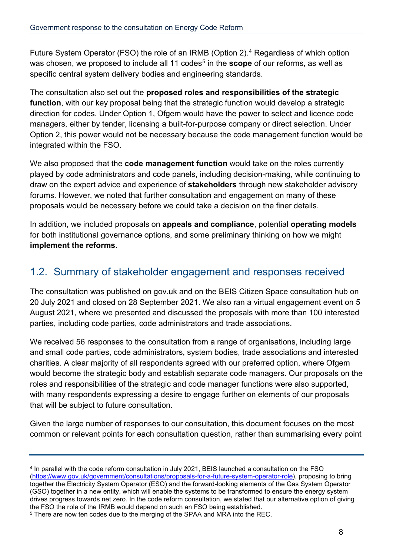Future System Operator (FSO) the role of an IRMB (Option 2). [4](#page-7-0) Regardless of which option was chosen, we proposed to include all 11 codes<sup>[5](#page-7-1)</sup> in the **scope** of our reforms, as well as specific central system delivery bodies and engineering standards.

The consultation also set out the **proposed roles and responsibilities of the strategic function**, with our key proposal being that the strategic function would develop a strategic direction for codes. Under Option 1, Ofgem would have the power to select and licence code managers, either by tender, licensing a built-for-purpose company or direct selection. Under Option 2, this power would not be necessary because the code management function would be integrated within the FSO.

We also proposed that the **code management function** would take on the roles currently played by code administrators and code panels, including decision-making, while continuing to draw on the expert advice and experience of **stakeholders** through new stakeholder advisory forums. However, we noted that further consultation and engagement on many of these proposals would be necessary before we could take a decision on the finer details.

In addition, we included proposals on **appeals and compliance**, potential **operating models** for both institutional governance options, and some preliminary thinking on how we might **implement the reforms**.

## 1.2. Summary of stakeholder engagement and responses received

The consultation was published on gov.uk and on the BEIS Citizen Space consultation hub on 20 July 2021 and closed on 28 September 2021. We also ran a virtual engagement event on 5 August 2021, where we presented and discussed the proposals with more than 100 interested parties, including code parties, code administrators and trade associations.

We received 56 responses to the consultation from a range of organisations, including large and small code parties, code administrators, system bodies, trade associations and interested charities. A clear majority of all respondents agreed with our preferred option, where Ofgem would become the strategic body and establish separate code managers. Our proposals on the roles and responsibilities of the strategic and code manager functions were also supported, with many respondents expressing a desire to engage further on elements of our proposals that will be subject to future consultation.

Given the large number of responses to our consultation, this document focuses on the most common or relevant points for each consultation question, rather than summarising every point

<span id="page-7-0"></span><sup>4</sup> In parallel with the code reform consultation in July 2021, BEIS launched a consultation on the FSO [\(https://www.gov.uk/government/consultations/proposals-for-a-future-system-operator-role\)](https://www.gov.uk/government/consultations/proposals-for-a-future-system-operator-role), proposing to bring together the Electricity System Operator (ESO) and the forward-looking elements of the Gas System Operator (GSO) together in a new entity, which will enable the systems to be transformed to ensure the energy system drives progress towards net zero. In the code reform consultation, we stated that our alternative option of giving the FSO the role of the IRMB would depend on such an FSO being established.

<span id="page-7-1"></span><sup>5</sup> There are now ten codes due to the merging of the SPAA and MRA into the REC.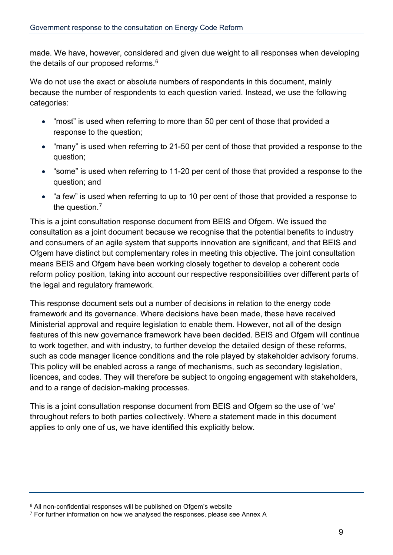made. We have, however, considered and given due weight to all responses when developing the details of our proposed reforms.<sup>[6](#page-8-0)</sup>

We do not use the exact or absolute numbers of respondents in this document, mainly because the number of respondents to each question varied. Instead, we use the following categories:

- "most" is used when referring to more than 50 per cent of those that provided a response to the question;
- "many" is used when referring to 21-50 per cent of those that provided a response to the question;
- "some" is used when referring to 11-20 per cent of those that provided a response to the question; and
- "a few" is used when referring to up to 10 per cent of those that provided a response to the question.<sup>[7](#page-8-1)</sup>

This is a joint consultation response document from BEIS and Ofgem. We issued the consultation as a joint document because we recognise that the potential benefits to industry and consumers of an agile system that supports innovation are significant, and that BEIS and Ofgem have distinct but complementary roles in meeting this objective. The joint consultation means BEIS and Ofgem have been working closely together to develop a coherent code reform policy position, taking into account our respective responsibilities over different parts of the legal and regulatory framework.

This response document sets out a number of decisions in relation to the energy code framework and its governance. Where decisions have been made, these have received Ministerial approval and require legislation to enable them. However, not all of the design features of this new governance framework have been decided. BEIS and Ofgem will continue to work together, and with industry, to further develop the detailed design of these reforms, such as code manager licence conditions and the role played by stakeholder advisory forums. This policy will be enabled across a range of mechanisms, such as secondary legislation, licences, and codes. They will therefore be subject to ongoing engagement with stakeholders, and to a range of decision-making processes.

This is a joint consultation response document from BEIS and Ofgem so the use of 'we' throughout refers to both parties collectively. Where a statement made in this document applies to only one of us, we have identified this explicitly below.

<span id="page-8-0"></span><sup>&</sup>lt;sup>6</sup> All non-confidential responses will be published on Ofgem's website

<span id="page-8-1"></span><sup>&</sup>lt;sup>7</sup> For further information on how we analysed the responses, please see Annex A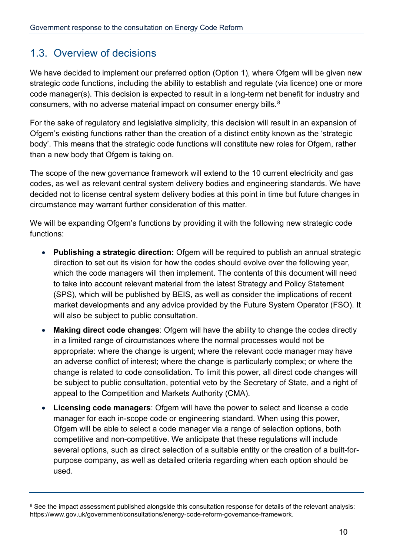## 1.3. Overview of decisions

We have decided to implement our preferred option (Option 1), where Ofgem will be given new strategic code functions, including the ability to establish and regulate (via licence) one or more code manager(s). This decision is expected to result in a long-term net benefit for industry and consumers, with no adverse material impact on consumer energy bills.<sup>[8](#page-9-0)</sup>

For the sake of regulatory and legislative simplicity, this decision will result in an expansion of Ofgem's existing functions rather than the creation of a distinct entity known as the 'strategic body'. This means that the strategic code functions will constitute new roles for Ofgem, rather than a new body that Ofgem is taking on.

The scope of the new governance framework will extend to the 10 current electricity and gas codes, as well as relevant central system delivery bodies and engineering standards. We have decided not to license central system delivery bodies at this point in time but future changes in circumstance may warrant further consideration of this matter.

We will be expanding Ofgem's functions by providing it with the following new strategic code functions:

- **Publishing a strategic direction:** Ofgem will be required to publish an annual strategic direction to set out its vision for how the codes should evolve over the following year, which the code managers will then implement. The contents of this document will need to take into account relevant material from the latest Strategy and Policy Statement (SPS), which will be published by BEIS, as well as consider the implications of recent market developments and any advice provided by the Future System Operator (FSO). It will also be subject to public consultation.
- **Making direct code changes**: Ofgem will have the ability to change the codes directly in a limited range of circumstances where the normal processes would not be appropriate: where the change is urgent; where the relevant code manager may have an adverse conflict of interest; where the change is particularly complex; or where the change is related to code consolidation. To limit this power, all direct code changes will be subject to public consultation, potential veto by the Secretary of State, and a right of appeal to the Competition and Markets Authority (CMA).
- **Licensing code managers**: Ofgem will have the power to select and license a code manager for each in-scope code or engineering standard. When using this power, Ofgem will be able to select a code manager via a range of selection options, both competitive and non-competitive. We anticipate that these regulations will include several options, such as direct selection of a suitable entity or the creation of a built-forpurpose company, as well as detailed criteria regarding when each option should be used.

<span id="page-9-0"></span><sup>&</sup>lt;sup>8</sup> See the impact assessment published alongside this consultation response for details of the relevant analysis: https://www.gov.uk/government/consultations/energy-code-reform-governance-framework.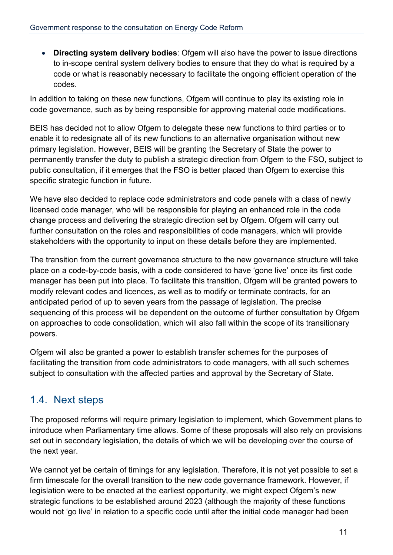• **Directing system delivery bodies**: Ofgem will also have the power to issue directions to in-scope central system delivery bodies to ensure that they do what is required by a code or what is reasonably necessary to facilitate the ongoing efficient operation of the codes.

In addition to taking on these new functions, Ofgem will continue to play its existing role in code governance, such as by being responsible for approving material code modifications.

BEIS has decided not to allow Ofgem to delegate these new functions to third parties or to enable it to redesignate all of its new functions to an alternative organisation without new primary legislation. However, BEIS will be granting the Secretary of State the power to permanently transfer the duty to publish a strategic direction from Ofgem to the FSO, subject to public consultation, if it emerges that the FSO is better placed than Ofgem to exercise this specific strategic function in future.

We have also decided to replace code administrators and code panels with a class of newly licensed code manager, who will be responsible for playing an enhanced role in the code change process and delivering the strategic direction set by Ofgem. Ofgem will carry out further consultation on the roles and responsibilities of code managers, which will provide stakeholders with the opportunity to input on these details before they are implemented.

The transition from the current governance structure to the new governance structure will take place on a code-by-code basis, with a code considered to have 'gone live' once its first code manager has been put into place. To facilitate this transition, Ofgem will be granted powers to modify relevant codes and licences, as well as to modify or terminate contracts, for an anticipated period of up to seven years from the passage of legislation. The precise sequencing of this process will be dependent on the outcome of further consultation by Ofgem on approaches to code consolidation, which will also fall within the scope of its transitionary powers.

Ofgem will also be granted a power to establish transfer schemes for the purposes of facilitating the transition from code administrators to code managers, with all such schemes subject to consultation with the affected parties and approval by the Secretary of State.

## 1.4. Next steps

The proposed reforms will require primary legislation to implement, which Government plans to introduce when Parliamentary time allows. Some of these proposals will also rely on provisions set out in secondary legislation, the details of which we will be developing over the course of the next year.

We cannot yet be certain of timings for any legislation. Therefore, it is not yet possible to set a firm timescale for the overall transition to the new code governance framework. However, if legislation were to be enacted at the earliest opportunity, we might expect Ofgem's new strategic functions to be established around 2023 (although the majority of these functions would not 'go live' in relation to a specific code until after the initial code manager had been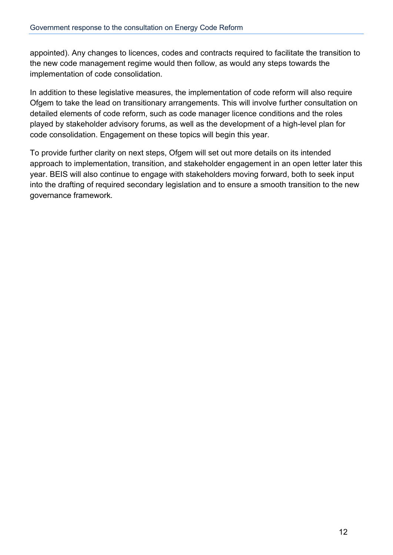appointed). Any changes to licences, codes and contracts required to facilitate the transition to the new code management regime would then follow, as would any steps towards the implementation of code consolidation.

In addition to these legislative measures, the implementation of code reform will also require Ofgem to take the lead on transitionary arrangements. This will involve further consultation on detailed elements of code reform, such as code manager licence conditions and the roles played by stakeholder advisory forums, as well as the development of a high-level plan for code consolidation. Engagement on these topics will begin this year.

To provide further clarity on next steps, Ofgem will set out more details on its intended approach to implementation, transition, and stakeholder engagement in an open letter later this year. BEIS will also continue to engage with stakeholders moving forward, both to seek input into the drafting of required secondary legislation and to ensure a smooth transition to the new governance framework.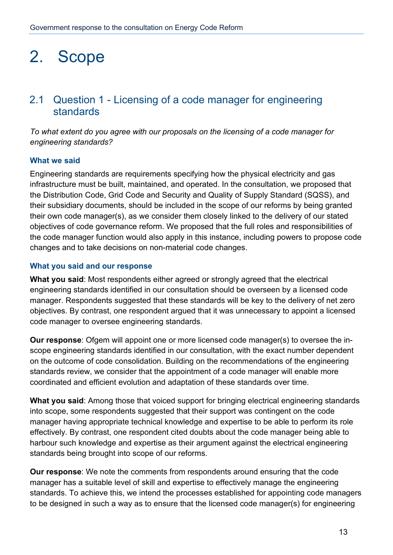## 2. Scope

## 2.1 Question 1 - Licensing of a code manager for engineering standards

*To what extent do you agree with our proposals on the licensing of a code manager for engineering standards?*

#### **What we said**

Engineering standards are requirements specifying how the physical electricity and gas infrastructure must be built, maintained, and operated. In the consultation, we proposed that the Distribution Code, Grid Code and Security and Quality of Supply Standard (SQSS), and their subsidiary documents, should be included in the scope of our reforms by being granted their own code manager(s), as we consider them closely linked to the delivery of our stated objectives of code governance reform. We proposed that the full roles and responsibilities of the code manager function would also apply in this instance, including powers to propose code changes and to take decisions on non-material code changes.

#### **What you said and our response**

**What you said**: Most respondents either agreed or strongly agreed that the electrical engineering standards identified in our consultation should be overseen by a licensed code manager. Respondents suggested that these standards will be key to the delivery of net zero objectives. By contrast, one respondent argued that it was unnecessary to appoint a licensed code manager to oversee engineering standards.

**Our response**: Ofgem will appoint one or more licensed code manager(s) to oversee the inscope engineering standards identified in our consultation, with the exact number dependent on the outcome of code consolidation. Building on the recommendations of the engineering standards review, we consider that the appointment of a code manager will enable more coordinated and efficient evolution and adaptation of these standards over time.

**What you said**: Among those that voiced support for bringing electrical engineering standards into scope, some respondents suggested that their support was contingent on the code manager having appropriate technical knowledge and expertise to be able to perform its role effectively. By contrast, one respondent cited doubts about the code manager being able to harbour such knowledge and expertise as their argument against the electrical engineering standards being brought into scope of our reforms.

**Our response**: We note the comments from respondents around ensuring that the code manager has a suitable level of skill and expertise to effectively manage the engineering standards. To achieve this, we intend the processes established for appointing code managers to be designed in such a way as to ensure that the licensed code manager(s) for engineering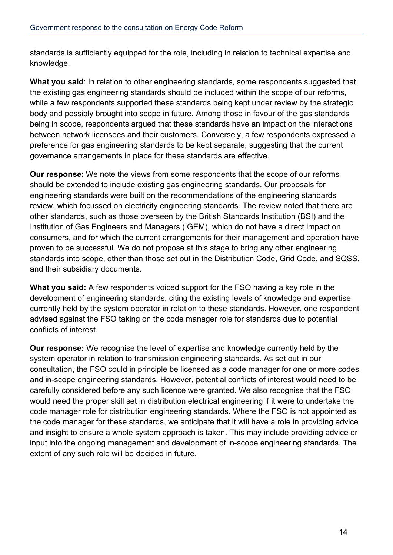standards is sufficiently equipped for the role, including in relation to technical expertise and knowledge.

**What you said**: In relation to other engineering standards, some respondents suggested that the existing gas engineering standards should be included within the scope of our reforms, while a few respondents supported these standards being kept under review by the strategic body and possibly brought into scope in future. Among those in favour of the gas standards being in scope, respondents argued that these standards have an impact on the interactions between network licensees and their customers. Conversely, a few respondents expressed a preference for gas engineering standards to be kept separate, suggesting that the current governance arrangements in place for these standards are effective.

**Our response**: We note the views from some respondents that the scope of our reforms should be extended to include existing gas engineering standards. Our proposals for engineering standards were built on the recommendations of the engineering standards review, which focussed on electricity engineering standards. The review noted that there are other standards, such as those overseen by the British Standards Institution (BSI) and the Institution of Gas Engineers and Managers (IGEM), which do not have a direct impact on consumers, and for which the current arrangements for their management and operation have proven to be successful. We do not propose at this stage to bring any other engineering standards into scope, other than those set out in the Distribution Code, Grid Code, and SQSS, and their subsidiary documents.

**What you said:** A few respondents voiced support for the FSO having a key role in the development of engineering standards, citing the existing levels of knowledge and expertise currently held by the system operator in relation to these standards. However, one respondent advised against the FSO taking on the code manager role for standards due to potential conflicts of interest.

**Our response:** We recognise the level of expertise and knowledge currently held by the system operator in relation to transmission engineering standards. As set out in our consultation, the FSO could in principle be licensed as a code manager for one or more codes and in-scope engineering standards. However, potential conflicts of interest would need to be carefully considered before any such licence were granted. We also recognise that the FSO would need the proper skill set in distribution electrical engineering if it were to undertake the code manager role for distribution engineering standards. Where the FSO is not appointed as the code manager for these standards, we anticipate that it will have a role in providing advice and insight to ensure a whole system approach is taken. This may include providing advice or input into the ongoing management and development of in-scope engineering standards. The extent of any such role will be decided in future.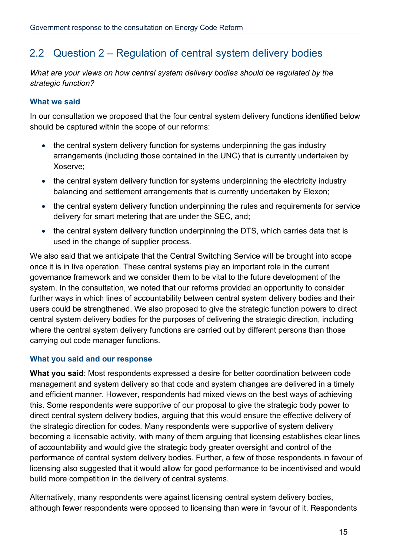## 2.2 Question 2 – Regulation of central system delivery bodies

*What are your views on how central system delivery bodies should be regulated by the strategic function?*

## **What we said**

In our consultation we proposed that the four central system delivery functions identified below should be captured within the scope of our reforms:

- the central system delivery function for systems underpinning the gas industry arrangements (including those contained in the UNC) that is currently undertaken by Xoserve;
- the central system delivery function for systems underpinning the electricity industry balancing and settlement arrangements that is currently undertaken by Elexon;
- the central system delivery function underpinning the rules and requirements for service delivery for smart metering that are under the SEC, and;
- the central system delivery function underpinning the DTS, which carries data that is used in the change of supplier process.

We also said that we anticipate that the Central Switching Service will be brought into scope once it is in live operation. These central systems play an important role in the current governance framework and we consider them to be vital to the future development of the system. In the consultation, we noted that our reforms provided an opportunity to consider further ways in which lines of accountability between central system delivery bodies and their users could be strengthened. We also proposed to give the strategic function powers to direct central system delivery bodies for the purposes of delivering the strategic direction, including where the central system delivery functions are carried out by different persons than those carrying out code manager functions.

## **What you said and our response**

**What you said**: Most respondents expressed a desire for better coordination between code management and system delivery so that code and system changes are delivered in a timely and efficient manner. However, respondents had mixed views on the best ways of achieving this. Some respondents were supportive of our proposal to give the strategic body power to direct central system delivery bodies, arguing that this would ensure the effective delivery of the strategic direction for codes. Many respondents were supportive of system delivery becoming a licensable activity, with many of them arguing that licensing establishes clear lines of accountability and would give the strategic body greater oversight and control of the performance of central system delivery bodies. Further, a few of those respondents in favour of licensing also suggested that it would allow for good performance to be incentivised and would build more competition in the delivery of central systems.

Alternatively, many respondents were against licensing central system delivery bodies, although fewer respondents were opposed to licensing than were in favour of it. Respondents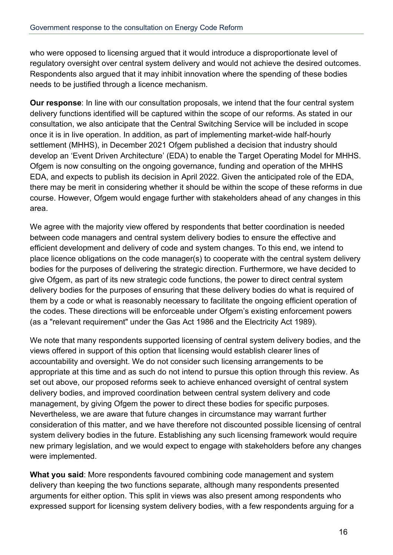who were opposed to licensing argued that it would introduce a disproportionate level of regulatory oversight over central system delivery and would not achieve the desired outcomes. Respondents also argued that it may inhibit innovation where the spending of these bodies needs to be justified through a licence mechanism.

**Our response**: In line with our consultation proposals, we intend that the four central system delivery functions identified will be captured within the scope of our reforms. As stated in our consultation, we also anticipate that the Central Switching Service will be included in scope once it is in live operation. In addition, as part of implementing market-wide half-hourly settlement (MHHS), in December 2021 Ofgem published a decision that industry should develop an 'Event Driven Architecture' (EDA) to enable the Target Operating Model for MHHS. Ofgem is now consulting on the ongoing governance, funding and operation of the MHHS EDA, and expects to publish its decision in April 2022. Given the anticipated role of the EDA, there may be merit in considering whether it should be within the scope of these reforms in due course. However, Ofgem would engage further with stakeholders ahead of any changes in this area.

We agree with the majority view offered by respondents that better coordination is needed between code managers and central system delivery bodies to ensure the effective and efficient development and delivery of code and system changes. To this end, we intend to place licence obligations on the code manager(s) to cooperate with the central system delivery bodies for the purposes of delivering the strategic direction. Furthermore, we have decided to give Ofgem, as part of its new strategic code functions, the power to direct central system delivery bodies for the purposes of ensuring that these delivery bodies do what is required of them by a code or what is reasonably necessary to facilitate the ongoing efficient operation of the codes. These directions will be enforceable under Ofgem's existing enforcement powers (as a "relevant requirement" under the Gas Act 1986 and the Electricity Act 1989).

We note that many respondents supported licensing of central system delivery bodies, and the views offered in support of this option that licensing would establish clearer lines of accountability and oversight. We do not consider such licensing arrangements to be appropriate at this time and as such do not intend to pursue this option through this review. As set out above, our proposed reforms seek to achieve enhanced oversight of central system delivery bodies, and improved coordination between central system delivery and code management, by giving Ofgem the power to direct these bodies for specific purposes. Nevertheless, we are aware that future changes in circumstance may warrant further consideration of this matter, and we have therefore not discounted possible licensing of central system delivery bodies in the future. Establishing any such licensing framework would require new primary legislation, and we would expect to engage with stakeholders before any changes were implemented.

**What you said**: More respondents favoured combining code management and system delivery than keeping the two functions separate, although many respondents presented arguments for either option. This split in views was also present among respondents who expressed support for licensing system delivery bodies, with a few respondents arguing for a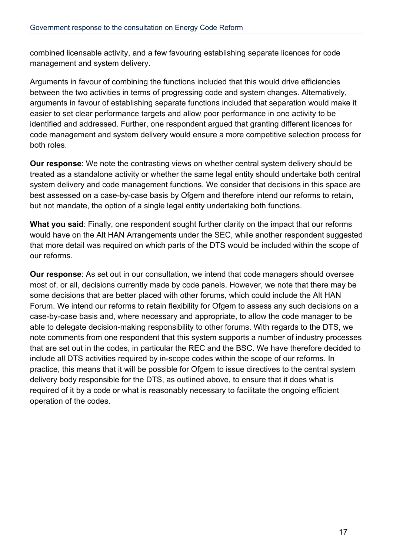combined licensable activity, and a few favouring establishing separate licences for code management and system delivery.

Arguments in favour of combining the functions included that this would drive efficiencies between the two activities in terms of progressing code and system changes. Alternatively, arguments in favour of establishing separate functions included that separation would make it easier to set clear performance targets and allow poor performance in one activity to be identified and addressed. Further, one respondent argued that granting different licences for code management and system delivery would ensure a more competitive selection process for both roles.

**Our response**: We note the contrasting views on whether central system delivery should be treated as a standalone activity or whether the same legal entity should undertake both central system delivery and code management functions. We consider that decisions in this space are best assessed on a case-by-case basis by Ofgem and therefore intend our reforms to retain, but not mandate, the option of a single legal entity undertaking both functions.

**What you said**: Finally, one respondent sought further clarity on the impact that our reforms would have on the Alt HAN Arrangements under the SEC, while another respondent suggested that more detail was required on which parts of the DTS would be included within the scope of our reforms.

**Our response**: As set out in our consultation, we intend that code managers should oversee most of, or all, decisions currently made by code panels. However, we note that there may be some decisions that are better placed with other forums, which could include the Alt HAN Forum. We intend our reforms to retain flexibility for Ofgem to assess any such decisions on a case-by-case basis and, where necessary and appropriate, to allow the code manager to be able to delegate decision-making responsibility to other forums. With regards to the DTS, we note comments from one respondent that this system supports a number of industry processes that are set out in the codes, in particular the REC and the BSC. We have therefore decided to include all DTS activities required by in-scope codes within the scope of our reforms. In practice, this means that it will be possible for Ofgem to issue directives to the central system delivery body responsible for the DTS, as outlined above, to ensure that it does what is required of it by a code or what is reasonably necessary to facilitate the ongoing efficient operation of the codes.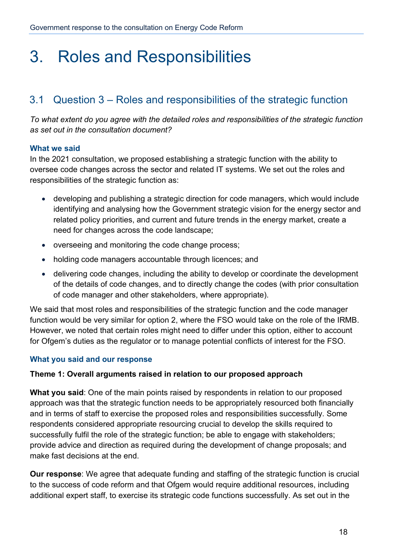## 3. Roles and Responsibilities

## 3.1 Question 3 – Roles and responsibilities of the strategic function

*To what extent do you agree with the detailed roles and responsibilities of the strategic function as set out in the consultation document?* 

#### **What we said**

In the 2021 consultation, we proposed establishing a strategic function with the ability to oversee code changes across the sector and related IT systems. We set out the roles and responsibilities of the strategic function as:

- developing and publishing a strategic direction for code managers, which would include identifying and analysing how the Government strategic vision for the energy sector and related policy priorities, and current and future trends in the energy market, create a need for changes across the code landscape;
- overseeing and monitoring the code change process;
- holding code managers accountable through licences; and
- delivering code changes, including the ability to develop or coordinate the development of the details of code changes, and to directly change the codes (with prior consultation of code manager and other stakeholders, where appropriate).

We said that most roles and responsibilities of the strategic function and the code manager function would be very similar for option 2, where the FSO would take on the role of the IRMB. However, we noted that certain roles might need to differ under this option, either to account for Ofgem's duties as the regulator or to manage potential conflicts of interest for the FSO.

### **What you said and our response**

#### **Theme 1: Overall arguments raised in relation to our proposed approach**

**What you said**: One of the main points raised by respondents in relation to our proposed approach was that the strategic function needs to be appropriately resourced both financially and in terms of staff to exercise the proposed roles and responsibilities successfully. Some respondents considered appropriate resourcing crucial to develop the skills required to successfully fulfil the role of the strategic function; be able to engage with stakeholders; provide advice and direction as required during the development of change proposals; and make fast decisions at the end.

**Our response**: We agree that adequate funding and staffing of the strategic function is crucial to the success of code reform and that Ofgem would require additional resources, including additional expert staff, to exercise its strategic code functions successfully. As set out in the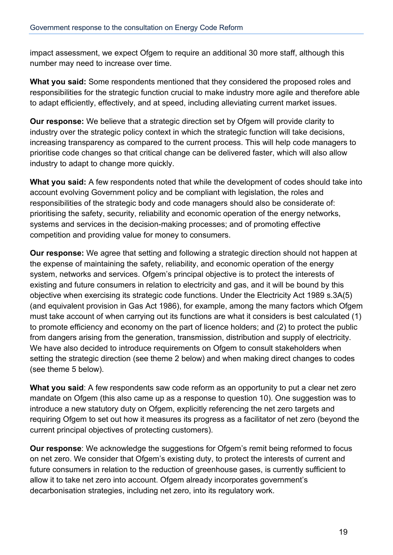impact assessment, we expect Ofgem to require an additional 30 more staff, although this number may need to increase over time.

**What you said:** Some respondents mentioned that they considered the proposed roles and responsibilities for the strategic function crucial to make industry more agile and therefore able to adapt efficiently, effectively, and at speed, including alleviating current market issues.

**Our response:** We believe that a strategic direction set by Ofgem will provide clarity to industry over the strategic policy context in which the strategic function will take decisions, increasing transparency as compared to the current process. This will help code managers to prioritise code changes so that critical change can be delivered faster, which will also allow industry to adapt to change more quickly.

**What you said:** A few respondents noted that while the development of codes should take into account evolving Government policy and be compliant with legislation, the roles and responsibilities of the strategic body and code managers should also be considerate of: prioritising the safety, security, reliability and economic operation of the energy networks, systems and services in the decision-making processes; and of promoting effective competition and providing value for money to consumers.

**Our response:** We agree that setting and following a strategic direction should not happen at the expense of maintaining the safety, reliability, and economic operation of the energy system, networks and services. Ofgem's principal objective is to protect the interests of existing and future consumers in relation to electricity and gas, and it will be bound by this objective when exercising its strategic code functions. Under the Electricity Act 1989 s.3A(5) (and equivalent provision in Gas Act 1986), for example, among the many factors which Ofgem must take account of when carrying out its functions are what it considers is best calculated (1) to promote efficiency and economy on the part of licence holders; and (2) to protect the public from dangers arising from the generation, transmission, distribution and supply of electricity. We have also decided to introduce requirements on Ofgem to consult stakeholders when setting the strategic direction (see theme 2 below) and when making direct changes to codes (see theme 5 below).

**What you said**: A few respondents saw code reform as an opportunity to put a clear net zero mandate on Ofgem (this also came up as a response to question 10). One suggestion was to introduce a new statutory duty on Ofgem, explicitly referencing the net zero targets and requiring Ofgem to set out how it measures its progress as a facilitator of net zero (beyond the current principal objectives of protecting customers).

**Our response**: We acknowledge the suggestions for Ofgem's remit being reformed to focus on net zero. We consider that Ofgem's existing duty, to protect the interests of current and future consumers in relation to the reduction of greenhouse gases, is currently sufficient to allow it to take net zero into account. Ofgem already incorporates government's decarbonisation strategies, including net zero, into its regulatory work.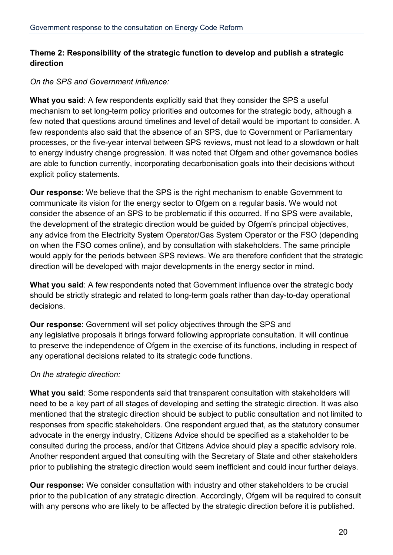## **Theme 2: Responsibility of the strategic function to develop and publish a strategic direction**

## *On the SPS and Government influence:*

**What you said**: A few respondents explicitly said that they consider the SPS a useful mechanism to set long-term policy priorities and outcomes for the strategic body, although a few noted that questions around timelines and level of detail would be important to consider. A few respondents also said that the absence of an SPS, due to Government or Parliamentary processes, or the five-year interval between SPS reviews, must not lead to a slowdown or halt to energy industry change progression. It was noted that Ofgem and other governance bodies are able to function currently, incorporating decarbonisation goals into their decisions without explicit policy statements.

**Our response**: We believe that the SPS is the right mechanism to enable Government to communicate its vision for the energy sector to Ofgem on a regular basis. We would not consider the absence of an SPS to be problematic if this occurred. If no SPS were available, the development of the strategic direction would be guided by Ofgem's principal objectives, any advice from the Electricity System Operator/Gas System Operator or the FSO (depending on when the FSO comes online), and by consultation with stakeholders. The same principle would apply for the periods between SPS reviews. We are therefore confident that the strategic direction will be developed with major developments in the energy sector in mind.

**What you said**: A few respondents noted that Government influence over the strategic body should be strictly strategic and related to long-term goals rather than day-to-day operational decisions.

**Our response**: Government will set policy objectives through the SPS and any legislative proposals it brings forward following appropriate consultation. It will continue to preserve the independence of Ofgem in the exercise of its functions, including in respect of any operational decisions related to its strategic code functions.

## *On the strategic direction:*

**What you said**: Some respondents said that transparent consultation with stakeholders will need to be a key part of all stages of developing and setting the strategic direction. It was also mentioned that the strategic direction should be subject to public consultation and not limited to responses from specific stakeholders. One respondent argued that, as the statutory consumer advocate in the energy industry, Citizens Advice should be specified as a stakeholder to be consulted during the process, and/or that Citizens Advice should play a specific advisory role. Another respondent argued that consulting with the Secretary of State and other stakeholders prior to publishing the strategic direction would seem inefficient and could incur further delays.

**Our response:** We consider consultation with industry and other stakeholders to be crucial prior to the publication of any strategic direction. Accordingly, Ofgem will be required to consult with any persons who are likely to be affected by the strategic direction before it is published.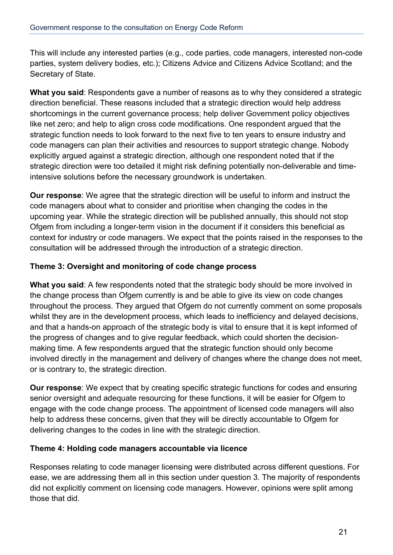This will include any interested parties (e.g., code parties, code managers, interested non-code parties, system delivery bodies, etc.); Citizens Advice and Citizens Advice Scotland; and the Secretary of State.

**What you said**: Respondents gave a number of reasons as to why they considered a strategic direction beneficial. These reasons included that a strategic direction would help address shortcomings in the current governance process; help deliver Government policy objectives like net zero; and help to align cross code modifications. One respondent argued that the strategic function needs to look forward to the next five to ten years to ensure industry and code managers can plan their activities and resources to support strategic change. Nobody explicitly argued against a strategic direction, although one respondent noted that if the strategic direction were too detailed it might risk defining potentially non-deliverable and timeintensive solutions before the necessary groundwork is undertaken.

**Our response**: We agree that the strategic direction will be useful to inform and instruct the code managers about what to consider and prioritise when changing the codes in the upcoming year. While the strategic direction will be published annually, this should not stop Ofgem from including a longer-term vision in the document if it considers this beneficial as context for industry or code managers. We expect that the points raised in the responses to the consultation will be addressed through the introduction of a strategic direction.

## **Theme 3: Oversight and monitoring of code change process**

**What you said**: A few respondents noted that the strategic body should be more involved in the change process than Ofgem currently is and be able to give its view on code changes throughout the process. They argued that Ofgem do not currently comment on some proposals whilst they are in the development process, which leads to inefficiency and delayed decisions, and that a hands-on approach of the strategic body is vital to ensure that it is kept informed of the progress of changes and to give regular feedback, which could shorten the decisionmaking time. A few respondents argued that the strategic function should only become involved directly in the management and delivery of changes where the change does not meet, or is contrary to, the strategic direction.

**Our response**: We expect that by creating specific strategic functions for codes and ensuring senior oversight and adequate resourcing for these functions, it will be easier for Ofgem to engage with the code change process. The appointment of licensed code managers will also help to address these concerns, given that they will be directly accountable to Ofgem for delivering changes to the codes in line with the strategic direction.

### **Theme 4: Holding code managers accountable via licence**

Responses relating to code manager licensing were distributed across different questions. For ease, we are addressing them all in this section under question 3. The majority of respondents did not explicitly comment on licensing code managers. However, opinions were split among those that did.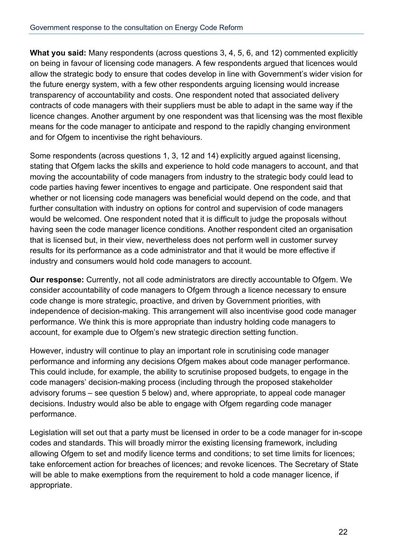**What you said:** Many respondents (across questions 3, 4, 5, 6, and 12) commented explicitly on being in favour of licensing code managers. A few respondents argued that licences would allow the strategic body to ensure that codes develop in line with Government's wider vision for the future energy system, with a few other respondents arguing licensing would increase transparency of accountability and costs. One respondent noted that associated delivery contracts of code managers with their suppliers must be able to adapt in the same way if the licence changes. Another argument by one respondent was that licensing was the most flexible means for the code manager to anticipate and respond to the rapidly changing environment and for Ofgem to incentivise the right behaviours.

Some respondents (across questions 1, 3, 12 and 14) explicitly argued against licensing, stating that Ofgem lacks the skills and experience to hold code managers to account, and that moving the accountability of code managers from industry to the strategic body could lead to code parties having fewer incentives to engage and participate. One respondent said that whether or not licensing code managers was beneficial would depend on the code, and that further consultation with industry on options for control and supervision of code managers would be welcomed. One respondent noted that it is difficult to judge the proposals without having seen the code manager licence conditions. Another respondent cited an organisation that is licensed but, in their view, nevertheless does not perform well in customer survey results for its performance as a code administrator and that it would be more effective if industry and consumers would hold code managers to account.

**Our response:** Currently, not all code administrators are directly accountable to Ofgem. We consider accountability of code managers to Ofgem through a licence necessary to ensure code change is more strategic, proactive, and driven by Government priorities, with independence of decision-making. This arrangement will also incentivise good code manager performance. We think this is more appropriate than industry holding code managers to account, for example due to Ofgem's new strategic direction setting function.

However, industry will continue to play an important role in scrutinising code manager performance and informing any decisions Ofgem makes about code manager performance. This could include, for example, the ability to scrutinise proposed budgets, to engage in the code managers' decision-making process (including through the proposed stakeholder advisory forums – see question 5 below) and, where appropriate, to appeal code manager decisions. Industry would also be able to engage with Ofgem regarding code manager performance.

Legislation will set out that a party must be licensed in order to be a code manager for in-scope codes and standards. This will broadly mirror the existing licensing framework, including allowing Ofgem to set and modify licence terms and conditions; to set time limits for licences; take enforcement action for breaches of licences; and revoke licences. The Secretary of State will be able to make exemptions from the requirement to hold a code manager licence, if appropriate.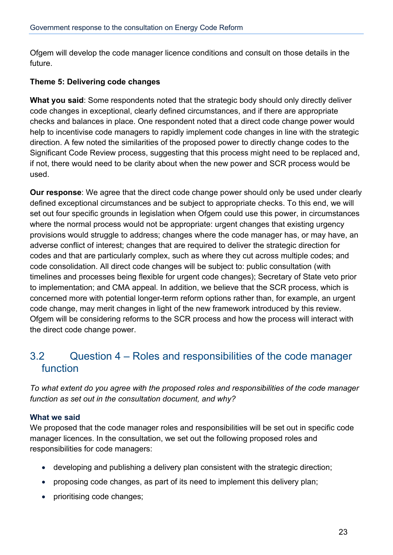Ofgem will develop the code manager licence conditions and consult on those details in the future.

## **Theme 5: Delivering code changes**

**What you said**: Some respondents noted that the strategic body should only directly deliver code changes in exceptional, clearly defined circumstances, and if there are appropriate checks and balances in place. One respondent noted that a direct code change power would help to incentivise code managers to rapidly implement code changes in line with the strategic direction. A few noted the similarities of the proposed power to directly change codes to the Significant Code Review process, suggesting that this process might need to be replaced and, if not, there would need to be clarity about when the new power and SCR process would be used.

**Our response**: We agree that the direct code change power should only be used under clearly defined exceptional circumstances and be subject to appropriate checks. To this end, we will set out four specific grounds in legislation when Ofgem could use this power, in circumstances where the normal process would not be appropriate: urgent changes that existing urgency provisions would struggle to address; changes where the code manager has, or may have, an adverse conflict of interest; changes that are required to deliver the strategic direction for codes and that are particularly complex, such as where they cut across multiple codes; and code consolidation. All direct code changes will be subject to: public consultation (with timelines and processes being flexible for urgent code changes); Secretary of State veto prior to implementation; and CMA appeal. In addition, we believe that the SCR process, which is concerned more with potential longer-term reform options rather than, for example, an urgent code change, may merit changes in light of the new framework introduced by this review. Ofgem will be considering reforms to the SCR process and how the process will interact with the direct code change power.

## 3.2 Question 4 – Roles and responsibilities of the code manager function

*To what extent do you agree with the proposed roles and responsibilities of the code manager function as set out in the consultation document, and why?*

### **What we said**

We proposed that the code manager roles and responsibilities will be set out in specific code manager licences. In the consultation, we set out the following proposed roles and responsibilities for code managers:

- developing and publishing a delivery plan consistent with the strategic direction;
- proposing code changes, as part of its need to implement this delivery plan;
- prioritising code changes;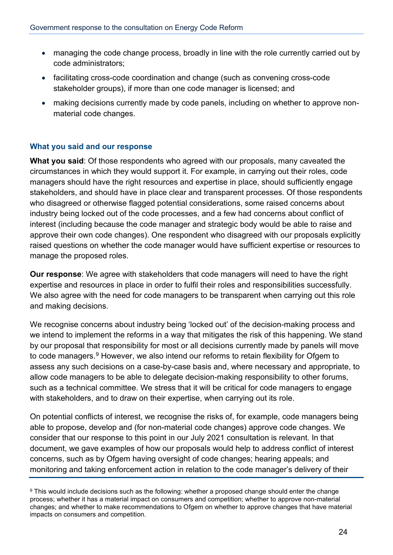- managing the code change process, broadly in line with the role currently carried out by code administrators;
- facilitating cross-code coordination and change (such as convening cross-code stakeholder groups), if more than one code manager is licensed; and
- making decisions currently made by code panels, including on whether to approve nonmaterial code changes.

## **What you said and our response**

**What you said**: Of those respondents who agreed with our proposals, many caveated the circumstances in which they would support it. For example, in carrying out their roles, code managers should have the right resources and expertise in place, should sufficiently engage stakeholders, and should have in place clear and transparent processes. Of those respondents who disagreed or otherwise flagged potential considerations, some raised concerns about industry being locked out of the code processes, and a few had concerns about conflict of interest (including because the code manager and strategic body would be able to raise and approve their own code changes). One respondent who disagreed with our proposals explicitly raised questions on whether the code manager would have sufficient expertise or resources to manage the proposed roles.

**Our response**: We agree with stakeholders that code managers will need to have the right expertise and resources in place in order to fulfil their roles and responsibilities successfully. We also agree with the need for code managers to be transparent when carrying out this role and making decisions.

We recognise concerns about industry being 'locked out' of the decision-making process and we intend to implement the reforms in a way that mitigates the risk of this happening. We stand by our proposal that responsibility for most or all decisions currently made by panels will move to code managers.<sup>[9](#page-23-0)</sup> However, we also intend our reforms to retain flexibility for Ofgem to assess any such decisions on a case-by-case basis and, where necessary and appropriate, to allow code managers to be able to delegate decision-making responsibility to other forums, such as a technical committee. We stress that it will be critical for code managers to engage with stakeholders, and to draw on their expertise, when carrying out its role.

On potential conflicts of interest, we recognise the risks of, for example, code managers being able to propose, develop and (for non-material code changes) approve code changes. We consider that our response to this point in our July 2021 consultation is relevant. In that document, we gave examples of how our proposals would help to address conflict of interest concerns, such as by Ofgem having oversight of code changes; hearing appeals; and monitoring and taking enforcement action in relation to the code manager's delivery of their

<span id="page-23-0"></span><sup>&</sup>lt;sup>9</sup> This would include decisions such as the following: whether a proposed change should enter the change process; whether it has a material impact on consumers and competition; whether to approve non-material changes; and whether to make recommendations to Ofgem on whether to approve changes that have material impacts on consumers and competition.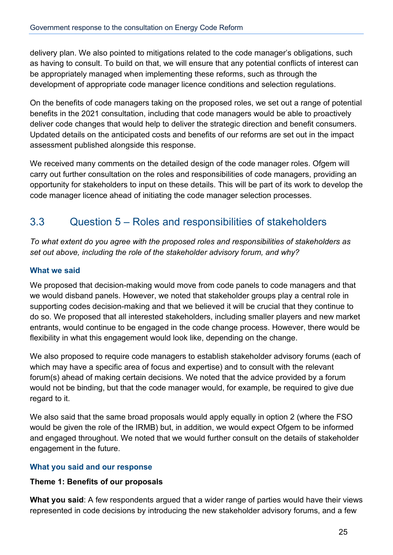delivery plan. We also pointed to mitigations related to the code manager's obligations, such as having to consult. To build on that, we will ensure that any potential conflicts of interest can be appropriately managed when implementing these reforms, such as through the development of appropriate code manager licence conditions and selection regulations.

On the benefits of code managers taking on the proposed roles, we set out a range of potential benefits in the 2021 consultation, including that code managers would be able to proactively deliver code changes that would help to deliver the strategic direction and benefit consumers. Updated details on the anticipated costs and benefits of our reforms are set out in the impact assessment published alongside this response.

We received many comments on the detailed design of the code manager roles. Ofgem will carry out further consultation on the roles and responsibilities of code managers, providing an opportunity for stakeholders to input on these details. This will be part of its work to develop the code manager licence ahead of initiating the code manager selection processes.

## 3.3 Question 5 – Roles and responsibilities of stakeholders

*To what extent do you agree with the proposed roles and responsibilities of stakeholders as set out above, including the role of the stakeholder advisory forum, and why?*

## **What we said**

We proposed that decision-making would move from code panels to code managers and that we would disband panels. However, we noted that stakeholder groups play a central role in supporting codes decision-making and that we believed it will be crucial that they continue to do so. We proposed that all interested stakeholders, including smaller players and new market entrants, would continue to be engaged in the code change process. However, there would be flexibility in what this engagement would look like, depending on the change.

We also proposed to require code managers to establish stakeholder advisory forums (each of which may have a specific area of focus and expertise) and to consult with the relevant forum(s) ahead of making certain decisions. We noted that the advice provided by a forum would not be binding, but that the code manager would, for example, be required to give due regard to it.

We also said that the same broad proposals would apply equally in option 2 (where the FSO would be given the role of the IRMB) but, in addition, we would expect Ofgem to be informed and engaged throughout. We noted that we would further consult on the details of stakeholder engagement in the future.

## **What you said and our response**

### **Theme 1: Benefits of our proposals**

**What you said**: A few respondents argued that a wider range of parties would have their views represented in code decisions by introducing the new stakeholder advisory forums, and a few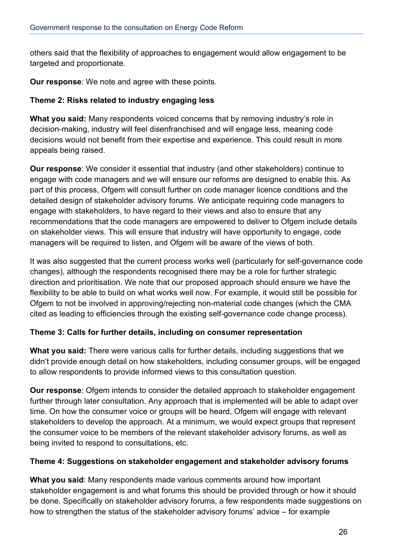others said that the flexibility of approaches to engagement would allow engagement to be targeted and proportionate.

**Our response**: We note and agree with these points.

## **Theme 2: Risks related to industry engaging less**

**What you said:** Many respondents voiced concerns that by removing industry's role in decision-making, industry will feel disenfranchised and will engage less, meaning code decisions would not benefit from their expertise and experience. This could result in more appeals being raised.

**Our response**: We consider it essential that industry (and other stakeholders) continue to engage with code managers and we will ensure our reforms are designed to enable this. As part of this process, Ofgem will consult further on code manager licence conditions and the detailed design of stakeholder advisory forums. We anticipate requiring code managers to engage with stakeholders, to have regard to their views and also to ensure that any recommendations that the code managers are empowered to deliver to Ofgem include details on stakeholder views. This will ensure that industry will have opportunity to engage, code managers will be required to listen, and Ofgem will be aware of the views of both.

It was also suggested that the current process works well (particularly for self-governance code changes), although the respondents recognised there may be a role for further strategic direction and prioritisation. We note that our proposed approach should ensure we have the flexibility to be able to build on what works well now. For example, it would still be possible for Ofgem to not be involved in approving/rejecting non-material code changes (which the CMA cited as leading to efficiencies through the existing self-governance code change process).

## **Theme 3: Calls for further details, including on consumer representation**

**What you said:** There were various calls for further details, including suggestions that we didn't provide enough detail on how stakeholders, including consumer groups, will be engaged to allow respondents to provide informed views to this consultation question.

**Our response**: Ofgem intends to consider the detailed approach to stakeholder engagement further through later consultation. Any approach that is implemented will be able to adapt over time. On how the consumer voice or groups will be heard, Ofgem will engage with relevant stakeholders to develop the approach. At a minimum, we would expect groups that represent the consumer voice to be members of the relevant stakeholder advisory forums, as well as being invited to respond to consultations, etc.

### **Theme 4: Suggestions on stakeholder engagement and stakeholder advisory forums**

**What you said**: Many respondents made various comments around how important stakeholder engagement is and what forums this should be provided through or how it should be done. Specifically on stakeholder advisory forums, a few respondents made suggestions on how to strengthen the status of the stakeholder advisory forums' advice – for example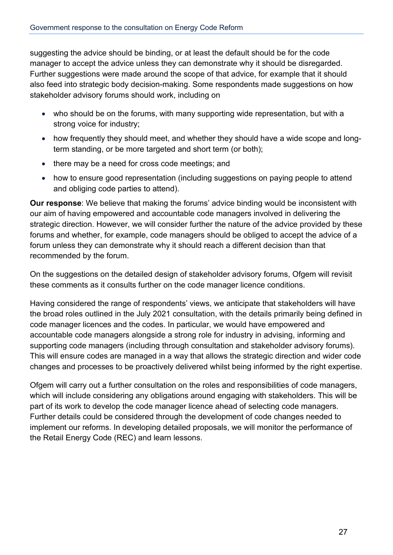suggesting the advice should be binding, or at least the default should be for the code manager to accept the advice unless they can demonstrate why it should be disregarded. Further suggestions were made around the scope of that advice, for example that it should also feed into strategic body decision-making. Some respondents made suggestions on how stakeholder advisory forums should work, including on

- who should be on the forums, with many supporting wide representation, but with a strong voice for industry;
- how frequently they should meet, and whether they should have a wide scope and longterm standing, or be more targeted and short term (or both);
- there may be a need for cross code meetings; and
- how to ensure good representation (including suggestions on paying people to attend and obliging code parties to attend).

**Our response**: We believe that making the forums' advice binding would be inconsistent with our aim of having empowered and accountable code managers involved in delivering the strategic direction. However, we will consider further the nature of the advice provided by these forums and whether, for example, code managers should be obliged to accept the advice of a forum unless they can demonstrate why it should reach a different decision than that recommended by the forum.

On the suggestions on the detailed design of stakeholder advisory forums, Ofgem will revisit these comments as it consults further on the code manager licence conditions.

Having considered the range of respondents' views, we anticipate that stakeholders will have the broad roles outlined in the July 2021 consultation, with the details primarily being defined in code manager licences and the codes. In particular, we would have empowered and accountable code managers alongside a strong role for industry in advising, informing and supporting code managers (including through consultation and stakeholder advisory forums). This will ensure codes are managed in a way that allows the strategic direction and wider code changes and processes to be proactively delivered whilst being informed by the right expertise.

Ofgem will carry out a further consultation on the roles and responsibilities of code managers, which will include considering any obligations around engaging with stakeholders. This will be part of its work to develop the code manager licence ahead of selecting code managers. Further details could be considered through the development of code changes needed to implement our reforms. In developing detailed proposals, we will monitor the performance of the Retail Energy Code (REC) and learn lessons.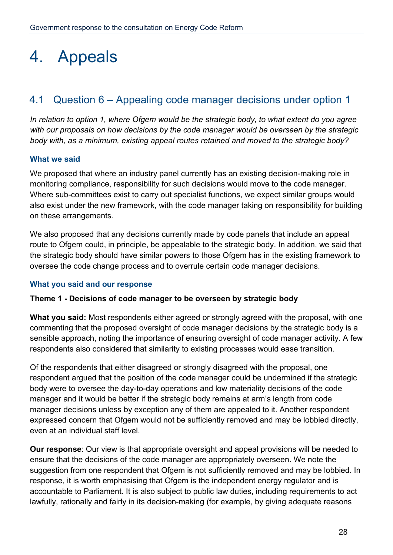## 4. Appeals

## 4.1 Question 6 – Appealing code manager decisions under option 1

*In relation to option 1, where Ofgem would be the strategic body, to what extent do you agree with our proposals on how decisions by the code manager would be overseen by the strategic body with, as a minimum, existing appeal routes retained and moved to the strategic body?*

### **What we said**

We proposed that where an industry panel currently has an existing decision-making role in monitoring compliance, responsibility for such decisions would move to the code manager. Where sub-committees exist to carry out specialist functions, we expect similar groups would also exist under the new framework, with the code manager taking on responsibility for building on these arrangements.

We also proposed that any decisions currently made by code panels that include an appeal route to Ofgem could, in principle, be appealable to the strategic body. In addition, we said that the strategic body should have similar powers to those Ofgem has in the existing framework to oversee the code change process and to overrule certain code manager decisions.

### **What you said and our response**

### **Theme 1 - Decisions of code manager to be overseen by strategic body**

**What you said:** Most respondents either agreed or strongly agreed with the proposal, with one commenting that the proposed oversight of code manager decisions by the strategic body is a sensible approach, noting the importance of ensuring oversight of code manager activity. A few respondents also considered that similarity to existing processes would ease transition.

Of the respondents that either disagreed or strongly disagreed with the proposal, one respondent argued that the position of the code manager could be undermined if the strategic body were to oversee the day-to-day operations and low materiality decisions of the code manager and it would be better if the strategic body remains at arm's length from code manager decisions unless by exception any of them are appealed to it. Another respondent expressed concern that Ofgem would not be sufficiently removed and may be lobbied directly, even at an individual staff level.

**Our response**: Our view is that appropriate oversight and appeal provisions will be needed to ensure that the decisions of the code manager are appropriately overseen. We note the suggestion from one respondent that Ofgem is not sufficiently removed and may be lobbied. In response, it is worth emphasising that Ofgem is the independent energy regulator and is accountable to Parliament. It is also subject to public law duties, including requirements to act lawfully, rationally and fairly in its decision-making (for example, by giving adequate reasons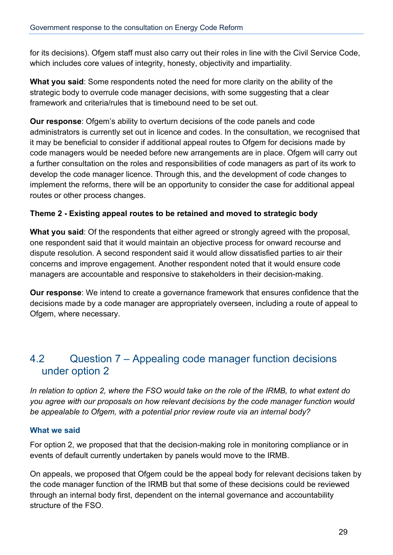for its decisions). Ofgem staff must also carry out their roles in line with the Civil Service Code, which includes core values of integrity, honesty, objectivity and impartiality.

**What you said**: Some respondents noted the need for more clarity on the ability of the strategic body to overrule code manager decisions, with some suggesting that a clear framework and criteria/rules that is timebound need to be set out.

**Our response**: Ofgem's ability to overturn decisions of the code panels and code administrators is currently set out in licence and codes. In the consultation, we recognised that it may be beneficial to consider if additional appeal routes to Ofgem for decisions made by code managers would be needed before new arrangements are in place. Ofgem will carry out a further consultation on the roles and responsibilities of code managers as part of its work to develop the code manager licence. Through this, and the development of code changes to implement the reforms, there will be an opportunity to consider the case for additional appeal routes or other process changes.

## **Theme 2 - Existing appeal routes to be retained and moved to strategic body**

**What you said**: Of the respondents that either agreed or strongly agreed with the proposal, one respondent said that it would maintain an objective process for onward recourse and dispute resolution. A second respondent said it would allow dissatisfied parties to air their concerns and improve engagement. Another respondent noted that it would ensure code managers are accountable and responsive to stakeholders in their decision-making.

**Our response**: We intend to create a governance framework that ensures confidence that the decisions made by a code manager are appropriately overseen, including a route of appeal to Ofgem, where necessary.

## 4.2 Question 7 – Appealing code manager function decisions under option 2

*In relation to option 2, where the FSO would take on the role of the IRMB, to what extent do you agree with our proposals on how relevant decisions by the code manager function would be appealable to Ofgem, with a potential prior review route via an internal body?*

## **What we said**

For option 2, we proposed that that the decision-making role in monitoring compliance or in events of default currently undertaken by panels would move to the IRMB.

On appeals, we proposed that Ofgem could be the appeal body for relevant decisions taken by the code manager function of the IRMB but that some of these decisions could be reviewed through an internal body first, dependent on the internal governance and accountability structure of the FSO.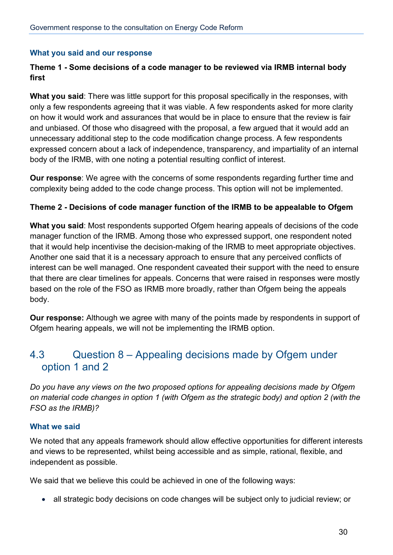### **What you said and our response**

## **Theme 1 - Some decisions of a code manager to be reviewed via IRMB internal body first**

**What you said**: There was little support for this proposal specifically in the responses, with only a few respondents agreeing that it was viable. A few respondents asked for more clarity on how it would work and assurances that would be in place to ensure that the review is fair and unbiased. Of those who disagreed with the proposal, a few argued that it would add an unnecessary additional step to the code modification change process. A few respondents expressed concern about a lack of independence, transparency, and impartiality of an internal body of the IRMB, with one noting a potential resulting conflict of interest.

**Our response**: We agree with the concerns of some respondents regarding further time and complexity being added to the code change process. This option will not be implemented.

### **Theme 2 - Decisions of code manager function of the IRMB to be appealable to Ofgem**

**What you said**: Most respondents supported Ofgem hearing appeals of decisions of the code manager function of the IRMB. Among those who expressed support, one respondent noted that it would help incentivise the decision-making of the IRMB to meet appropriate objectives. Another one said that it is a necessary approach to ensure that any perceived conflicts of interest can be well managed. One respondent caveated their support with the need to ensure that there are clear timelines for appeals. Concerns that were raised in responses were mostly based on the role of the FSO as IRMB more broadly, rather than Ofgem being the appeals body.

**Our response:** Although we agree with many of the points made by respondents in support of Ofgem hearing appeals, we will not be implementing the IRMB option.

## 4.3 Question 8 – Appealing decisions made by Ofgem under option 1 and 2

*Do you have any views on the two proposed options for appealing decisions made by Ofgem on material code changes in option 1 (with Ofgem as the strategic body) and option 2 (with the FSO as the IRMB)?*

#### **What we said**

We noted that any appeals framework should allow effective opportunities for different interests and views to be represented, whilst being accessible and as simple, rational, flexible, and independent as possible.

We said that we believe this could be achieved in one of the following ways:

• all strategic body decisions on code changes will be subject only to judicial review; or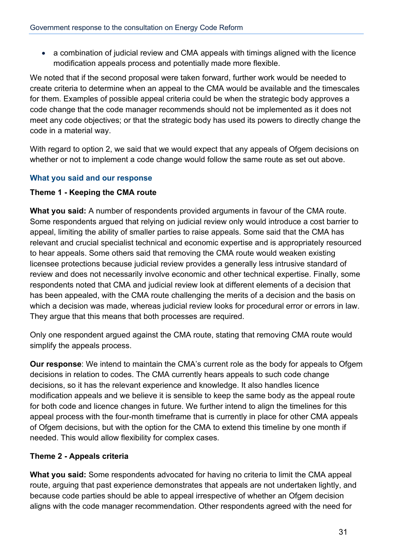• a combination of judicial review and CMA appeals with timings aligned with the licence modification appeals process and potentially made more flexible.

We noted that if the second proposal were taken forward, further work would be needed to create criteria to determine when an appeal to the CMA would be available and the timescales for them. Examples of possible appeal criteria could be when the strategic body approves a code change that the code manager recommends should not be implemented as it does not meet any code objectives; or that the strategic body has used its powers to directly change the code in a material way.

With regard to option 2, we said that we would expect that any appeals of Ofgem decisions on whether or not to implement a code change would follow the same route as set out above.

## **What you said and our response**

### **Theme 1 - Keeping the CMA route**

**What you said:** A number of respondents provided arguments in favour of the CMA route. Some respondents argued that relying on judicial review only would introduce a cost barrier to appeal, limiting the ability of smaller parties to raise appeals. Some said that the CMA has relevant and crucial specialist technical and economic expertise and is appropriately resourced to hear appeals. Some others said that removing the CMA route would weaken existing licensee protections because judicial review provides a generally less intrusive standard of review and does not necessarily involve economic and other technical expertise. Finally, some respondents noted that CMA and judicial review look at different elements of a decision that has been appealed, with the CMA route challenging the merits of a decision and the basis on which a decision was made, whereas judicial review looks for procedural error or errors in law. They argue that this means that both processes are required.

Only one respondent argued against the CMA route, stating that removing CMA route would simplify the appeals process.

**Our response**: We intend to maintain the CMA's current role as the body for appeals to Ofgem decisions in relation to codes. The CMA currently hears appeals to such code change decisions, so it has the relevant experience and knowledge. It also handles licence modification appeals and we believe it is sensible to keep the same body as the appeal route for both code and licence changes in future. We further intend to align the timelines for this appeal process with the four-month timeframe that is currently in place for other CMA appeals of Ofgem decisions, but with the option for the CMA to extend this timeline by one month if needed. This would allow flexibility for complex cases.

### **Theme 2 - Appeals criteria**

**What you said:** Some respondents advocated for having no criteria to limit the CMA appeal route, arguing that past experience demonstrates that appeals are not undertaken lightly, and because code parties should be able to appeal irrespective of whether an Ofgem decision aligns with the code manager recommendation. Other respondents agreed with the need for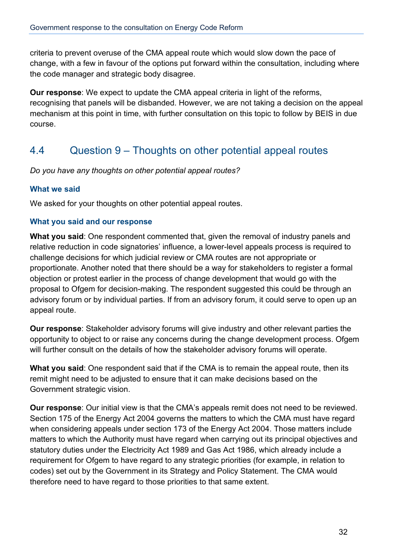criteria to prevent overuse of the CMA appeal route which would slow down the pace of change, with a few in favour of the options put forward within the consultation, including where the code manager and strategic body disagree.

**Our response**: We expect to update the CMA appeal criteria in light of the reforms, recognising that panels will be disbanded. However, we are not taking a decision on the appeal mechanism at this point in time, with further consultation on this topic to follow by BEIS in due course.

## 4.4 Question 9 – Thoughts on other potential appeal routes

*Do you have any thoughts on other potential appeal routes?* 

### **What we said**

We asked for your thoughts on other potential appeal routes.

### **What you said and our response**

**What you said**: One respondent commented that, given the removal of industry panels and relative reduction in code signatories' influence, a lower-level appeals process is required to challenge decisions for which judicial review or CMA routes are not appropriate or proportionate. Another noted that there should be a way for stakeholders to register a formal objection or protest earlier in the process of change development that would go with the proposal to Ofgem for decision-making. The respondent suggested this could be through an advisory forum or by individual parties. If from an advisory forum, it could serve to open up an appeal route.

**Our response**: Stakeholder advisory forums will give industry and other relevant parties the opportunity to object to or raise any concerns during the change development process. Ofgem will further consult on the details of how the stakeholder advisory forums will operate.

**What you said**: One respondent said that if the CMA is to remain the appeal route, then its remit might need to be adjusted to ensure that it can make decisions based on the Government strategic vision.

**Our response**: Our initial view is that the CMA's appeals remit does not need to be reviewed. Section 175 of the Energy Act 2004 governs the matters to which the CMA must have regard when considering appeals under section 173 of the Energy Act 2004. Those matters include matters to which the Authority must have regard when carrying out its principal objectives and statutory duties under the Electricity Act 1989 and Gas Act 1986, which already include a requirement for Ofgem to have regard to any strategic priorities (for example, in relation to codes) set out by the Government in its Strategy and Policy Statement. The CMA would therefore need to have regard to those priorities to that same extent.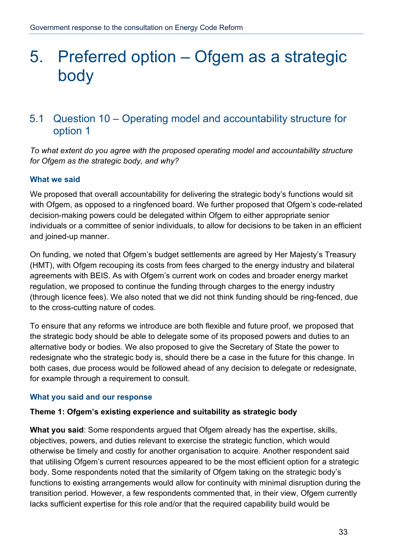## 5. Preferred option – Ofgem as a strategic body

## 5.1 Question 10 – Operating model and accountability structure for option 1

*To what extent do you agree with the proposed operating model and accountability structure for Ofgem as the strategic body, and why?* 

## **What we said**

We proposed that overall accountability for delivering the strategic body's functions would sit with Ofgem, as opposed to a ringfenced board. We further proposed that Ofgem's code-related decision-making powers could be delegated within Ofgem to either appropriate senior individuals or a committee of senior individuals, to allow for decisions to be taken in an efficient and joined-up manner.

On funding, we noted that Ofgem's budget settlements are agreed by Her Majesty's Treasury (HMT), with Ofgem recouping its costs from fees charged to the energy industry and bilateral agreements with BEIS. As with Ofgem's current work on codes and broader energy market regulation, we proposed to continue the funding through charges to the energy industry (through licence fees). We also noted that we did not think funding should be ring-fenced, due to the cross-cutting nature of codes.

To ensure that any reforms we introduce are both flexible and future proof, we proposed that the strategic body should be able to delegate some of its proposed powers and duties to an alternative body or bodies. We also proposed to give the Secretary of State the power to redesignate who the strategic body is, should there be a case in the future for this change. In both cases, due process would be followed ahead of any decision to delegate or redesignate, for example through a requirement to consult.

### **What you said and our response**

### **Theme 1: Ofgem's existing experience and suitability as strategic body**

**What you said**: Some respondents argued that Ofgem already has the expertise, skills, objectives, powers, and duties relevant to exercise the strategic function, which would otherwise be timely and costly for another organisation to acquire. Another respondent said that utilising Ofgem's current resources appeared to be the most efficient option for a strategic body. Some respondents noted that the similarity of Ofgem taking on the strategic body's functions to existing arrangements would allow for continuity with minimal disruption during the transition period. However, a few respondents commented that, in their view, Ofgem currently lacks sufficient expertise for this role and/or that the required capability build would be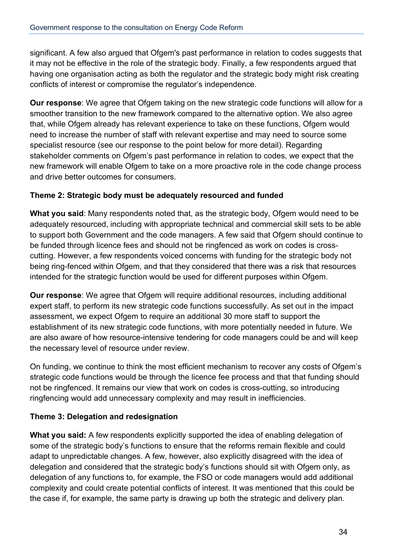significant. A few also argued that Ofgem's past performance in relation to codes suggests that it may not be effective in the role of the strategic body. Finally, a few respondents argued that having one organisation acting as both the regulator and the strategic body might risk creating conflicts of interest or compromise the regulator's independence.

**Our response**: We agree that Ofgem taking on the new strategic code functions will allow for a smoother transition to the new framework compared to the alternative option. We also agree that, while Ofgem already has relevant experience to take on these functions, Ofgem would need to increase the number of staff with relevant expertise and may need to source some specialist resource (see our response to the point below for more detail). Regarding stakeholder comments on Ofgem's past performance in relation to codes, we expect that the new framework will enable Ofgem to take on a more proactive role in the code change process and drive better outcomes for consumers.

## **Theme 2: Strategic body must be adequately resourced and funded**

**What you said**: Many respondents noted that, as the strategic body, Ofgem would need to be adequately resourced, including with appropriate technical and commercial skill sets to be able to support both Government and the code managers. A few said that Ofgem should continue to be funded through licence fees and should not be ringfenced as work on codes is crosscutting. However, a few respondents voiced concerns with funding for the strategic body not being ring-fenced within Ofgem, and that they considered that there was a risk that resources intended for the strategic function would be used for different purposes within Ofgem.

**Our response**: We agree that Ofgem will require additional resources, including additional expert staff, to perform its new strategic code functions successfully. As set out in the impact assessment, we expect Ofgem to require an additional 30 more staff to support the establishment of its new strategic code functions, with more potentially needed in future. We are also aware of how resource-intensive tendering for code managers could be and will keep the necessary level of resource under review.

On funding, we continue to think the most efficient mechanism to recover any costs of Ofgem's strategic code functions would be through the licence fee process and that that funding should not be ringfenced. It remains our view that work on codes is cross-cutting, so introducing ringfencing would add unnecessary complexity and may result in inefficiencies.

## **Theme 3: Delegation and redesignation**

**What you said:** A few respondents explicitly supported the idea of enabling delegation of some of the strategic body's functions to ensure that the reforms remain flexible and could adapt to unpredictable changes. A few, however, also explicitly disagreed with the idea of delegation and considered that the strategic body's functions should sit with Ofgem only, as delegation of any functions to, for example, the FSO or code managers would add additional complexity and could create potential conflicts of interest. It was mentioned that this could be the case if, for example, the same party is drawing up both the strategic and delivery plan.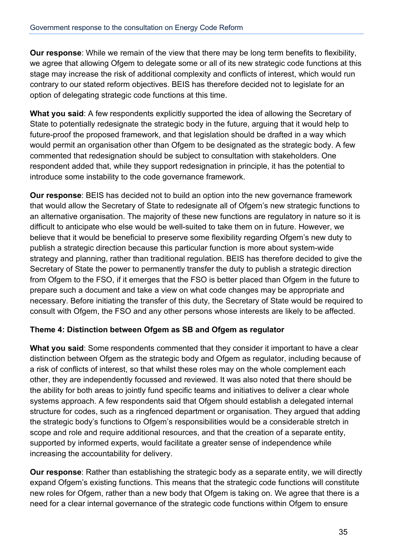**Our response**: While we remain of the view that there may be long term benefits to flexibility, we agree that allowing Ofgem to delegate some or all of its new strategic code functions at this stage may increase the risk of additional complexity and conflicts of interest, which would run contrary to our stated reform objectives. BEIS has therefore decided not to legislate for an option of delegating strategic code functions at this time.

**What you said**: A few respondents explicitly supported the idea of allowing the Secretary of State to potentially redesignate the strategic body in the future, arguing that it would help to future-proof the proposed framework, and that legislation should be drafted in a way which would permit an organisation other than Ofgem to be designated as the strategic body. A few commented that redesignation should be subject to consultation with stakeholders. One respondent added that, while they support redesignation in principle, it has the potential to introduce some instability to the code governance framework.

**Our response**: BEIS has decided not to build an option into the new governance framework that would allow the Secretary of State to redesignate all of Ofgem's new strategic functions to an alternative organisation. The majority of these new functions are regulatory in nature so it is difficult to anticipate who else would be well-suited to take them on in future. However, we believe that it would be beneficial to preserve some flexibility regarding Ofgem's new duty to publish a strategic direction because this particular function is more about system-wide strategy and planning, rather than traditional regulation. BEIS has therefore decided to give the Secretary of State the power to permanently transfer the duty to publish a strategic direction from Ofgem to the FSO, if it emerges that the FSO is better placed than Ofgem in the future to prepare such a document and take a view on what code changes may be appropriate and necessary. Before initiating the transfer of this duty, the Secretary of State would be required to consult with Ofgem, the FSO and any other persons whose interests are likely to be affected.

## **Theme 4: Distinction between Ofgem as SB and Ofgem as regulator**

**What you said**: Some respondents commented that they consider it important to have a clear distinction between Ofgem as the strategic body and Ofgem as regulator, including because of a risk of conflicts of interest, so that whilst these roles may on the whole complement each other, they are independently focussed and reviewed. It was also noted that there should be the ability for both areas to jointly fund specific teams and initiatives to deliver a clear whole systems approach. A few respondents said that Ofgem should establish a delegated internal structure for codes, such as a ringfenced department or organisation. They argued that adding the strategic body's functions to Ofgem's responsibilities would be a considerable stretch in scope and role and require additional resources, and that the creation of a separate entity, supported by informed experts, would facilitate a greater sense of independence while increasing the accountability for delivery.

**Our response**: Rather than establishing the strategic body as a separate entity, we will directly expand Ofgem's existing functions. This means that the strategic code functions will constitute new roles for Ofgem, rather than a new body that Ofgem is taking on. We agree that there is a need for a clear internal governance of the strategic code functions within Ofgem to ensure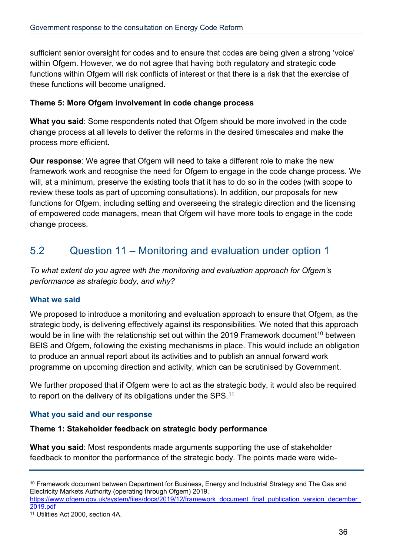sufficient senior oversight for codes and to ensure that codes are being given a strong 'voice' within Ofgem. However, we do not agree that having both regulatory and strategic code functions within Ofgem will risk conflicts of interest or that there is a risk that the exercise of these functions will become unaligned.

## **Theme 5: More Ofgem involvement in code change process**

**What you said**: Some respondents noted that Ofgem should be more involved in the code change process at all levels to deliver the reforms in the desired timescales and make the process more efficient.

**Our response**: We agree that Ofgem will need to take a different role to make the new framework work and recognise the need for Ofgem to engage in the code change process. We will, at a minimum, preserve the existing tools that it has to do so in the codes (with scope to review these tools as part of upcoming consultations). In addition, our proposals for new functions for Ofgem, including setting and overseeing the strategic direction and the licensing of empowered code managers, mean that Ofgem will have more tools to engage in the code change process.

## 5.2 Question 11 – Monitoring and evaluation under option 1

*To what extent do you agree with the monitoring and evaluation approach for Ofgem's performance as strategic body, and why?* 

## **What we said**

We proposed to introduce a monitoring and evaluation approach to ensure that Ofgem, as the strategic body, is delivering effectively against its responsibilities. We noted that this approach would be in line with the relationship set out within the 2019 Framework document<sup>[10](#page-35-0)</sup> between BEIS and Ofgem, following the existing mechanisms in place. This would include an obligation to produce an annual report about its activities and to publish an annual forward work programme on upcoming direction and activity, which can be scrutinised by Government.

We further proposed that if Ofgem were to act as the strategic body, it would also be required to report on the delivery of its obligations under the SPS.<sup>[11](#page-35-1)</sup>

### **What you said and our response**

### **Theme 1: Stakeholder feedback on strategic body performance**

**What you said**: Most respondents made arguments supporting the use of stakeholder feedback to monitor the performance of the strategic body. The points made were wide-

<span id="page-35-0"></span><sup>&</sup>lt;sup>10</sup> Framework document between Department for Business, Energy and Industrial Strategy and The Gas and Electricity Markets Authority (operating through Ofgem) 2019.

https://www.ofgem.gov.uk/system/files/docs/2019/12/framework\_document\_final\_publication\_version\_december [2019.pdf](https://www.ofgem.gov.uk/system/files/docs/2019/12/framework_document_final_publication_version_december_2019.pdf)

<span id="page-35-1"></span><sup>11</sup> Utilities Act 2000, section 4A.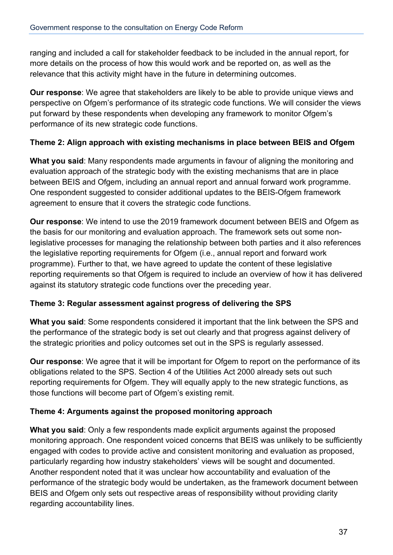ranging and included a call for stakeholder feedback to be included in the annual report, for more details on the process of how this would work and be reported on, as well as the relevance that this activity might have in the future in determining outcomes.

**Our response**: We agree that stakeholders are likely to be able to provide unique views and perspective on Ofgem's performance of its strategic code functions. We will consider the views put forward by these respondents when developing any framework to monitor Ofgem's performance of its new strategic code functions.

## **Theme 2: Align approach with existing mechanisms in place between BEIS and Ofgem**

**What you said**: Many respondents made arguments in favour of aligning the monitoring and evaluation approach of the strategic body with the existing mechanisms that are in place between BEIS and Ofgem, including an annual report and annual forward work programme. One respondent suggested to consider additional updates to the BEIS-Ofgem framework agreement to ensure that it covers the strategic code functions.

**Our response**: We intend to use the 2019 framework document between BEIS and Ofgem as the basis for our monitoring and evaluation approach. The framework sets out some nonlegislative processes for managing the relationship between both parties and it also references the legislative reporting requirements for Ofgem (i.e., annual report and forward work programme). Further to that, we have agreed to update the content of these legislative reporting requirements so that Ofgem is required to include an overview of how it has delivered against its statutory strategic code functions over the preceding year.

## **Theme 3: Regular assessment against progress of delivering the SPS**

**What you said**: Some respondents considered it important that the link between the SPS and the performance of the strategic body is set out clearly and that progress against delivery of the strategic priorities and policy outcomes set out in the SPS is regularly assessed.

**Our response**: We agree that it will be important for Ofgem to report on the performance of its obligations related to the SPS. Section 4 of the Utilities Act 2000 already sets out such reporting requirements for Ofgem. They will equally apply to the new strategic functions, as those functions will become part of Ofgem's existing remit.

### **Theme 4: Arguments against the proposed monitoring approach**

**What you said**: Only a few respondents made explicit arguments against the proposed monitoring approach. One respondent voiced concerns that BEIS was unlikely to be sufficiently engaged with codes to provide active and consistent monitoring and evaluation as proposed, particularly regarding how industry stakeholders' views will be sought and documented. Another respondent noted that it was unclear how accountability and evaluation of the performance of the strategic body would be undertaken, as the framework document between BEIS and Ofgem only sets out respective areas of responsibility without providing clarity regarding accountability lines.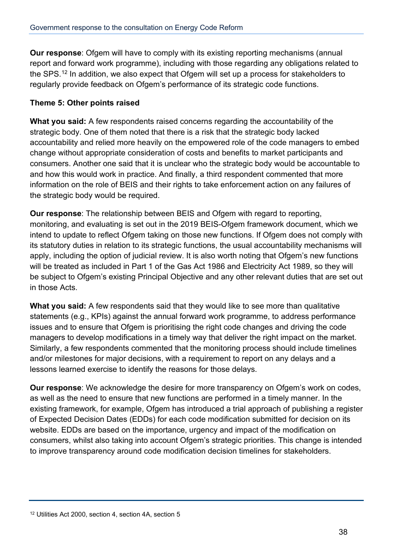**Our response**: Ofgem will have to comply with its existing reporting mechanisms (annual report and forward work programme), including with those regarding any obligations related to the SPS.<sup>[12](#page-37-0)</sup> In addition, we also expect that Ofgem will set up a process for stakeholders to regularly provide feedback on Ofgem's performance of its strategic code functions.

## **Theme 5: Other points raised**

**What you said:** A few respondents raised concerns regarding the accountability of the strategic body. One of them noted that there is a risk that the strategic body lacked accountability and relied more heavily on the empowered role of the code managers to embed change without appropriate consideration of costs and benefits to market participants and consumers. Another one said that it is unclear who the strategic body would be accountable to and how this would work in practice. And finally, a third respondent commented that more information on the role of BEIS and their rights to take enforcement action on any failures of the strategic body would be required.

**Our response**: The relationship between BEIS and Ofgem with regard to reporting, monitoring, and evaluating is set out in the 2019 BEIS-Ofgem framework document, which we intend to update to reflect Ofgem taking on those new functions. If Ofgem does not comply with its statutory duties in relation to its strategic functions, the usual accountability mechanisms will apply, including the option of judicial review. It is also worth noting that Ofgem's new functions will be treated as included in Part 1 of the Gas Act 1986 and Electricity Act 1989, so they will be subject to Ofgem's existing Principal Objective and any other relevant duties that are set out in those Acts.

**What you said:** A few respondents said that they would like to see more than qualitative statements (e.g., KPIs) against the annual forward work programme, to address performance issues and to ensure that Ofgem is prioritising the right code changes and driving the code managers to develop modifications in a timely way that deliver the right impact on the market. Similarly, a few respondents commented that the monitoring process should include timelines and/or milestones for major decisions, with a requirement to report on any delays and a lessons learned exercise to identify the reasons for those delays.

**Our response**: We acknowledge the desire for more transparency on Ofgem's work on codes, as well as the need to ensure that new functions are performed in a timely manner. In the existing framework, for example, Ofgem has introduced a trial approach of publishing a register of Expected Decision Dates (EDDs) for each code modification submitted for decision on its website. EDDs are based on the importance, urgency and impact of the modification on consumers, whilst also taking into account Ofgem's strategic priorities. This change is intended to improve transparency around code modification decision timelines for stakeholders.

<span id="page-37-0"></span><sup>12</sup> Utilities Act 2000, section 4, section 4A, section 5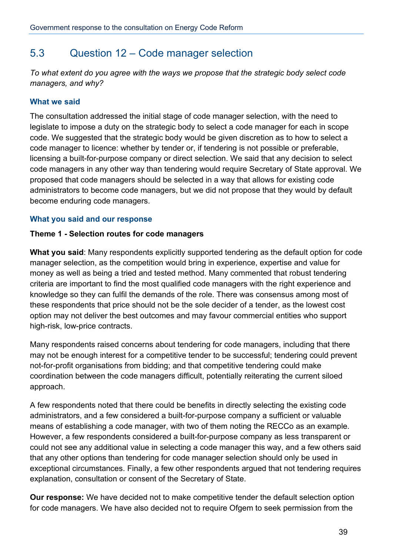## 5.3 Question 12 – Code manager selection

*To what extent do you agree with the ways we propose that the strategic body select code managers, and why?* 

## **What we said**

The consultation addressed the initial stage of code manager selection, with the need to legislate to impose a duty on the strategic body to select a code manager for each in scope code. We suggested that the strategic body would be given discretion as to how to select a code manager to licence: whether by tender or, if tendering is not possible or preferable, licensing a built-for-purpose company or direct selection. We said that any decision to select code managers in any other way than tendering would require Secretary of State approval. We proposed that code managers should be selected in a way that allows for existing code administrators to become code managers, but we did not propose that they would by default become enduring code managers.

## **What you said and our response**

## **Theme 1 - Selection routes for code managers**

**What you said**: Many respondents explicitly supported tendering as the default option for code manager selection, as the competition would bring in experience, expertise and value for money as well as being a tried and tested method. Many commented that robust tendering criteria are important to find the most qualified code managers with the right experience and knowledge so they can fulfil the demands of the role. There was consensus among most of these respondents that price should not be the sole decider of a tender, as the lowest cost option may not deliver the best outcomes and may favour commercial entities who support high-risk, low-price contracts.

Many respondents raised concerns about tendering for code managers, including that there may not be enough interest for a competitive tender to be successful; tendering could prevent not-for-profit organisations from bidding; and that competitive tendering could make coordination between the code managers difficult, potentially reiterating the current siloed approach.

A few respondents noted that there could be benefits in directly selecting the existing code administrators, and a few considered a built-for-purpose company a sufficient or valuable means of establishing a code manager, with two of them noting the RECCo as an example. However, a few respondents considered a built-for-purpose company as less transparent or could not see any additional value in selecting a code manager this way, and a few others said that any other options than tendering for code manager selection should only be used in exceptional circumstances. Finally, a few other respondents argued that not tendering requires explanation, consultation or consent of the Secretary of State.

**Our response:** We have decided not to make competitive tender the default selection option for code managers. We have also decided not to require Ofgem to seek permission from the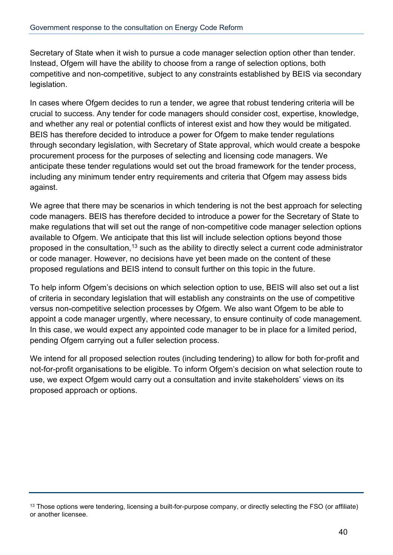Secretary of State when it wish to pursue a code manager selection option other than tender. Instead, Ofgem will have the ability to choose from a range of selection options, both competitive and non-competitive, subject to any constraints established by BEIS via secondary legislation.

In cases where Ofgem decides to run a tender, we agree that robust tendering criteria will be crucial to success. Any tender for code managers should consider cost, expertise, knowledge, and whether any real or potential conflicts of interest exist and how they would be mitigated. BEIS has therefore decided to introduce a power for Ofgem to make tender regulations through secondary legislation, with Secretary of State approval, which would create a bespoke procurement process for the purposes of selecting and licensing code managers. We anticipate these tender regulations would set out the broad framework for the tender process, including any minimum tender entry requirements and criteria that Ofgem may assess bids against.

We agree that there may be scenarios in which tendering is not the best approach for selecting code managers. BEIS has therefore decided to introduce a power for the Secretary of State to make regulations that will set out the range of non-competitive code manager selection options available to Ofgem. We anticipate that this list will include selection options beyond those proposed in the consultation,<sup>[13](#page-39-0)</sup> such as the ability to directly select a current code administrator or code manager. However, no decisions have yet been made on the content of these proposed regulations and BEIS intend to consult further on this topic in the future.

To help inform Ofgem's decisions on which selection option to use, BEIS will also set out a list of criteria in secondary legislation that will establish any constraints on the use of competitive versus non-competitive selection processes by Ofgem. We also want Ofgem to be able to appoint a code manager urgently, where necessary, to ensure continuity of code management. In this case, we would expect any appointed code manager to be in place for a limited period, pending Ofgem carrying out a fuller selection process.

We intend for all proposed selection routes (including tendering) to allow for both for-profit and not-for-profit organisations to be eligible. To inform Ofgem's decision on what selection route to use, we expect Ofgem would carry out a consultation and invite stakeholders' views on its proposed approach or options.

<span id="page-39-0"></span><sup>&</sup>lt;sup>13</sup> Those options were tendering, licensing a built-for-purpose company, or directly selecting the FSO (or affiliate) or another licensee.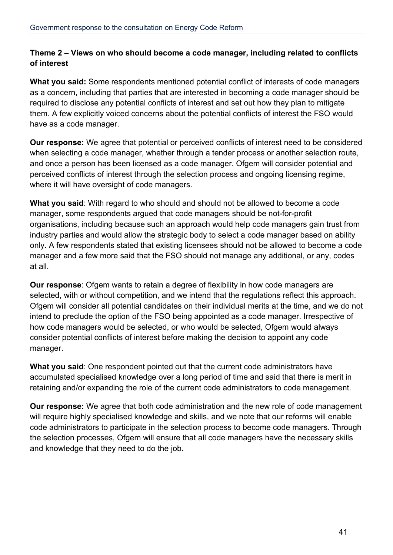## **Theme 2 – Views on who should become a code manager, including related to conflicts of interest**

**What you said:** Some respondents mentioned potential conflict of interests of code managers as a concern, including that parties that are interested in becoming a code manager should be required to disclose any potential conflicts of interest and set out how they plan to mitigate them. A few explicitly voiced concerns about the potential conflicts of interest the FSO would have as a code manager.

**Our response:** We agree that potential or perceived conflicts of interest need to be considered when selecting a code manager, whether through a tender process or another selection route, and once a person has been licensed as a code manager. Ofgem will consider potential and perceived conflicts of interest through the selection process and ongoing licensing regime, where it will have oversight of code managers.

**What you said**: With regard to who should and should not be allowed to become a code manager, some respondents argued that code managers should be not-for-profit organisations, including because such an approach would help code managers gain trust from industry parties and would allow the strategic body to select a code manager based on ability only. A few respondents stated that existing licensees should not be allowed to become a code manager and a few more said that the FSO should not manage any additional, or any, codes at all.

**Our response**: Ofgem wants to retain a degree of flexibility in how code managers are selected, with or without competition, and we intend that the regulations reflect this approach. Ofgem will consider all potential candidates on their individual merits at the time, and we do not intend to preclude the option of the FSO being appointed as a code manager. Irrespective of how code managers would be selected, or who would be selected, Ofgem would always consider potential conflicts of interest before making the decision to appoint any code manager.

**What you said**: One respondent pointed out that the current code administrators have accumulated specialised knowledge over a long period of time and said that there is merit in retaining and/or expanding the role of the current code administrators to code management.

**Our response:** We agree that both code administration and the new role of code management will require highly specialised knowledge and skills, and we note that our reforms will enable code administrators to participate in the selection process to become code managers. Through the selection processes, Ofgem will ensure that all code managers have the necessary skills and knowledge that they need to do the job.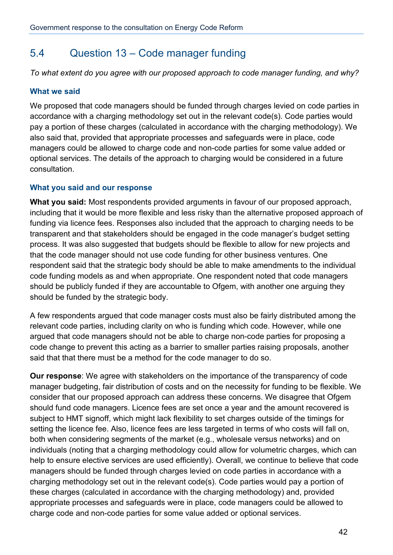## 5.4 Question 13 – Code manager funding

*To what extent do you agree with our proposed approach to code manager funding, and why?* 

## **What we said**

We proposed that code managers should be funded through charges levied on code parties in accordance with a charging methodology set out in the relevant code(s). Code parties would pay a portion of these charges (calculated in accordance with the charging methodology). We also said that, provided that appropriate processes and safeguards were in place, code managers could be allowed to charge code and non-code parties for some value added or optional services. The details of the approach to charging would be considered in a future consultation.

## **What you said and our response**

**What you said:** Most respondents provided arguments in favour of our proposed approach, including that it would be more flexible and less risky than the alternative proposed approach of funding via licence fees. Responses also included that the approach to charging needs to be transparent and that stakeholders should be engaged in the code manager's budget setting process. It was also suggested that budgets should be flexible to allow for new projects and that the code manager should not use code funding for other business ventures. One respondent said that the strategic body should be able to make amendments to the individual code funding models as and when appropriate. One respondent noted that code managers should be publicly funded if they are accountable to Ofgem, with another one arguing they should be funded by the strategic body.

A few respondents argued that code manager costs must also be fairly distributed among the relevant code parties, including clarity on who is funding which code. However, while one argued that code managers should not be able to charge non-code parties for proposing a code change to prevent this acting as a barrier to smaller parties raising proposals, another said that that there must be a method for the code manager to do so.

**Our response**: We agree with stakeholders on the importance of the transparency of code manager budgeting, fair distribution of costs and on the necessity for funding to be flexible. We consider that our proposed approach can address these concerns. We disagree that Ofgem should fund code managers. Licence fees are set once a year and the amount recovered is subject to HMT signoff, which might lack flexibility to set charges outside of the timings for setting the licence fee. Also, licence fees are less targeted in terms of who costs will fall on, both when considering segments of the market (e.g., wholesale versus networks) and on individuals (noting that a charging methodology could allow for volumetric charges, which can help to ensure elective services are used efficiently). Overall, we continue to believe that code managers should be funded through charges levied on code parties in accordance with a charging methodology set out in the relevant code(s). Code parties would pay a portion of these charges (calculated in accordance with the charging methodology) and, provided appropriate processes and safeguards were in place, code managers could be allowed to charge code and non-code parties for some value added or optional services.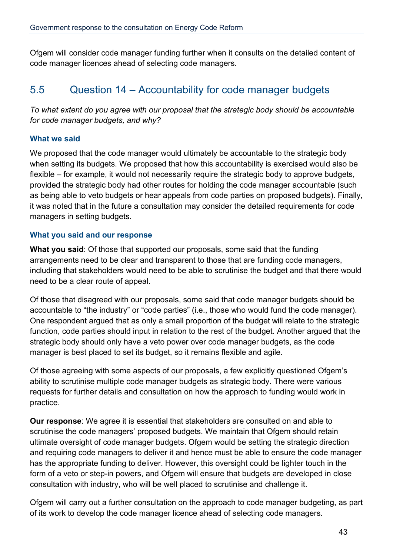Ofgem will consider code manager funding further when it consults on the detailed content of code manager licences ahead of selecting code managers.

## 5.5 Question 14 – Accountability for code manager budgets

*To what extent do you agree with our proposal that the strategic body should be accountable for code manager budgets, and why?* 

#### **What we said**

We proposed that the code manager would ultimately be accountable to the strategic body when setting its budgets. We proposed that how this accountability is exercised would also be flexible – for example, it would not necessarily require the strategic body to approve budgets, provided the strategic body had other routes for holding the code manager accountable (such as being able to veto budgets or hear appeals from code parties on proposed budgets). Finally, it was noted that in the future a consultation may consider the detailed requirements for code managers in setting budgets.

#### **What you said and our response**

**What you said**: Of those that supported our proposals, some said that the funding arrangements need to be clear and transparent to those that are funding code managers, including that stakeholders would need to be able to scrutinise the budget and that there would need to be a clear route of appeal.

Of those that disagreed with our proposals, some said that code manager budgets should be accountable to "the industry" or "code parties" (i.e., those who would fund the code manager). One respondent argued that as only a small proportion of the budget will relate to the strategic function, code parties should input in relation to the rest of the budget. Another argued that the strategic body should only have a veto power over code manager budgets, as the code manager is best placed to set its budget, so it remains flexible and agile.

Of those agreeing with some aspects of our proposals, a few explicitly questioned Ofgem's ability to scrutinise multiple code manager budgets as strategic body. There were various requests for further details and consultation on how the approach to funding would work in practice.

**Our response**: We agree it is essential that stakeholders are consulted on and able to scrutinise the code managers' proposed budgets. We maintain that Ofgem should retain ultimate oversight of code manager budgets. Ofgem would be setting the strategic direction and requiring code managers to deliver it and hence must be able to ensure the code manager has the appropriate funding to deliver. However, this oversight could be lighter touch in the form of a veto or step-in powers, and Ofgem will ensure that budgets are developed in close consultation with industry, who will be well placed to scrutinise and challenge it.

Ofgem will carry out a further consultation on the approach to code manager budgeting, as part of its work to develop the code manager licence ahead of selecting code managers.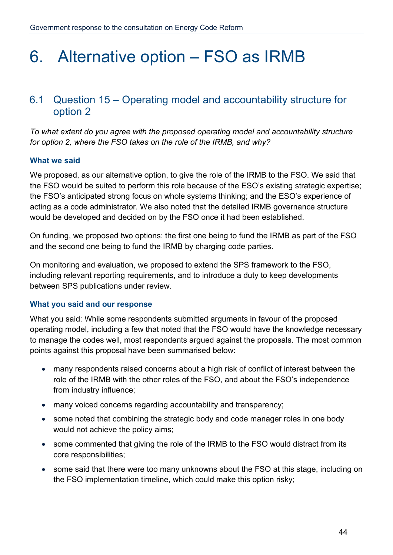## 6. Alternative option – FSO as IRMB

## 6.1 Question 15 – Operating model and accountability structure for option 2

*To what extent do you agree with the proposed operating model and accountability structure for option 2, where the FSO takes on the role of the IRMB, and why?* 

### **What we said**

We proposed, as our alternative option, to give the role of the IRMB to the FSO. We said that the FSO would be suited to perform this role because of the ESO's existing strategic expertise; the FSO's anticipated strong focus on whole systems thinking; and the ESO's experience of acting as a code administrator. We also noted that the detailed IRMB governance structure would be developed and decided on by the FSO once it had been established.

On funding, we proposed two options: the first one being to fund the IRMB as part of the FSO and the second one being to fund the IRMB by charging code parties.

On monitoring and evaluation, we proposed to extend the SPS framework to the FSO, including relevant reporting requirements, and to introduce a duty to keep developments between SPS publications under review.

### **What you said and our response**

What you said: While some respondents submitted arguments in favour of the proposed operating model, including a few that noted that the FSO would have the knowledge necessary to manage the codes well, most respondents argued against the proposals. The most common points against this proposal have been summarised below:

- many respondents raised concerns about a high risk of conflict of interest between the role of the IRMB with the other roles of the FSO, and about the FSO's independence from industry influence;
- many voiced concerns regarding accountability and transparency;
- some noted that combining the strategic body and code manager roles in one body would not achieve the policy aims;
- some commented that giving the role of the IRMB to the FSO would distract from its core responsibilities;
- some said that there were too many unknowns about the FSO at this stage, including on the FSO implementation timeline, which could make this option risky;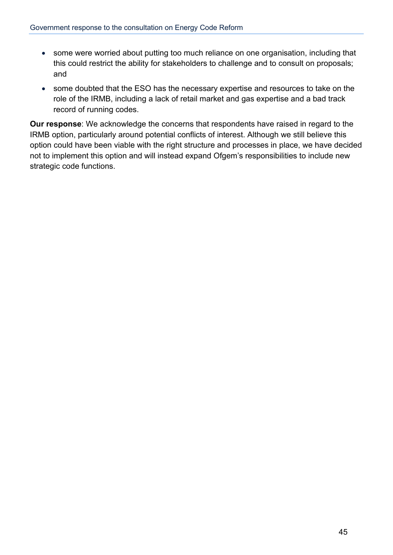- some were worried about putting too much reliance on one organisation, including that this could restrict the ability for stakeholders to challenge and to consult on proposals; and
- some doubted that the ESO has the necessary expertise and resources to take on the role of the IRMB, including a lack of retail market and gas expertise and a bad track record of running codes.

**Our response**: We acknowledge the concerns that respondents have raised in regard to the IRMB option, particularly around potential conflicts of interest. Although we still believe this option could have been viable with the right structure and processes in place, we have decided not to implement this option and will instead expand Ofgem's responsibilities to include new strategic code functions.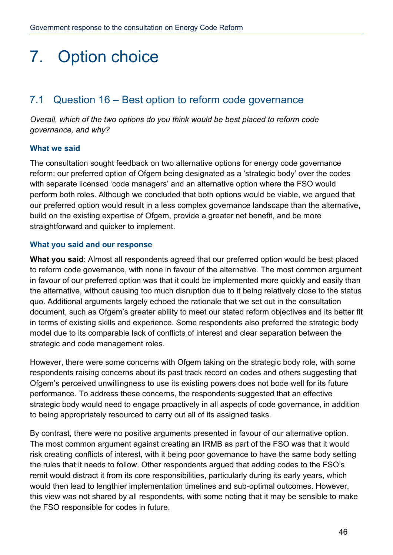## 7. Option choice

## 7.1 Question 16 – Best option to reform code governance

*Overall, which of the two options do you think would be best placed to reform code governance, and why?* 

### **What we said**

The consultation sought feedback on two alternative options for energy code governance reform: our preferred option of Ofgem being designated as a 'strategic body' over the codes with separate licensed 'code managers' and an alternative option where the FSO would perform both roles. Although we concluded that both options would be viable, we argued that our preferred option would result in a less complex governance landscape than the alternative, build on the existing expertise of Ofgem, provide a greater net benefit, and be more straightforward and quicker to implement.

## **What you said and our response**

**What you said**: Almost all respondents agreed that our preferred option would be best placed to reform code governance, with none in favour of the alternative. The most common argument in favour of our preferred option was that it could be implemented more quickly and easily than the alternative, without causing too much disruption due to it being relatively close to the status quo. Additional arguments largely echoed the rationale that we set out in the consultation document, such as Ofgem's greater ability to meet our stated reform objectives and its better fit in terms of existing skills and experience. Some respondents also preferred the strategic body model due to its comparable lack of conflicts of interest and clear separation between the strategic and code management roles.

However, there were some concerns with Ofgem taking on the strategic body role, with some respondents raising concerns about its past track record on codes and others suggesting that Ofgem's perceived unwillingness to use its existing powers does not bode well for its future performance. To address these concerns, the respondents suggested that an effective strategic body would need to engage proactively in all aspects of code governance, in addition to being appropriately resourced to carry out all of its assigned tasks.

By contrast, there were no positive arguments presented in favour of our alternative option. The most common argument against creating an IRMB as part of the FSO was that it would risk creating conflicts of interest, with it being poor governance to have the same body setting the rules that it needs to follow. Other respondents argued that adding codes to the FSO's remit would distract it from its core responsibilities, particularly during its early years, which would then lead to lengthier implementation timelines and sub-optimal outcomes. However, this view was not shared by all respondents, with some noting that it may be sensible to make the FSO responsible for codes in future.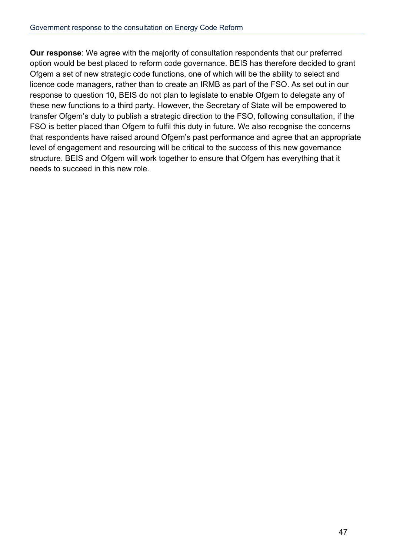**Our response**: We agree with the majority of consultation respondents that our preferred option would be best placed to reform code governance. BEIS has therefore decided to grant Ofgem a set of new strategic code functions, one of which will be the ability to select and licence code managers, rather than to create an IRMB as part of the FSO. As set out in our response to question 10, BEIS do not plan to legislate to enable Ofgem to delegate any of these new functions to a third party. However, the Secretary of State will be empowered to transfer Ofgem's duty to publish a strategic direction to the FSO, following consultation, if the FSO is better placed than Ofgem to fulfil this duty in future. We also recognise the concerns that respondents have raised around Ofgem's past performance and agree that an appropriate level of engagement and resourcing will be critical to the success of this new governance structure. BEIS and Ofgem will work together to ensure that Ofgem has everything that it needs to succeed in this new role.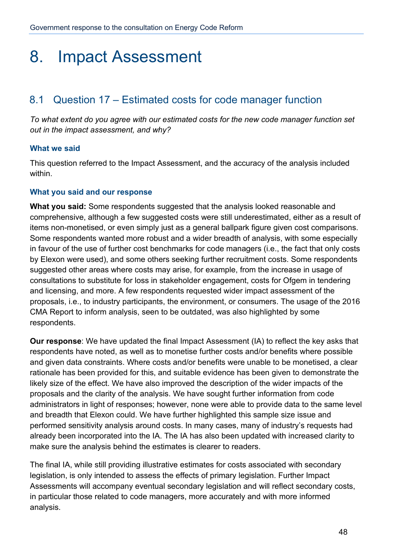## 8. Impact Assessment

## 8.1 Question 17 – Estimated costs for code manager function

*To what extent do you agree with our estimated costs for the new code manager function set out in the impact assessment, and why?* 

### **What we said**

This question referred to the Impact Assessment, and the accuracy of the analysis included within.

## **What you said and our response**

**What you said:** Some respondents suggested that the analysis looked reasonable and comprehensive, although a few suggested costs were still underestimated, either as a result of items non-monetised, or even simply just as a general ballpark figure given cost comparisons. Some respondents wanted more robust and a wider breadth of analysis, with some especially in favour of the use of further cost benchmarks for code managers (i.e., the fact that only costs by Elexon were used), and some others seeking further recruitment costs. Some respondents suggested other areas where costs may arise, for example, from the increase in usage of consultations to substitute for loss in stakeholder engagement, costs for Ofgem in tendering and licensing, and more. A few respondents requested wider impact assessment of the proposals, i.e., to industry participants, the environment, or consumers. The usage of the 2016 CMA Report to inform analysis, seen to be outdated, was also highlighted by some respondents.

**Our response**: We have updated the final Impact Assessment (IA) to reflect the key asks that respondents have noted, as well as to monetise further costs and/or benefits where possible and given data constraints. Where costs and/or benefits were unable to be monetised, a clear rationale has been provided for this, and suitable evidence has been given to demonstrate the likely size of the effect. We have also improved the description of the wider impacts of the proposals and the clarity of the analysis. We have sought further information from code administrators in light of responses; however, none were able to provide data to the same level and breadth that Elexon could. We have further highlighted this sample size issue and performed sensitivity analysis around costs. In many cases, many of industry's requests had already been incorporated into the IA. The IA has also been updated with increased clarity to make sure the analysis behind the estimates is clearer to readers.

The final IA, while still providing illustrative estimates for costs associated with secondary legislation, is only intended to assess the effects of primary legislation. Further Impact Assessments will accompany eventual secondary legislation and will reflect secondary costs, in particular those related to code managers, more accurately and with more informed analysis.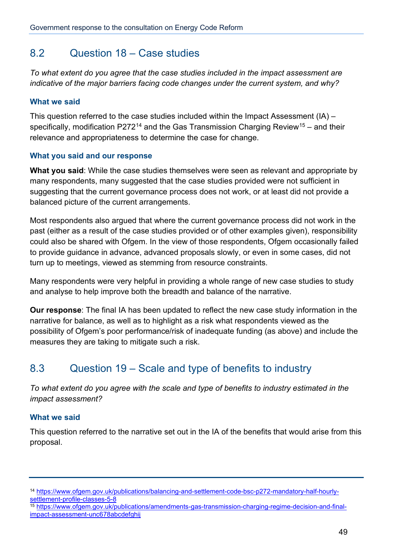## 8.2 Question 18 – Case studies

*To what extent do you agree that the case studies included in the impact assessment are indicative of the major barriers facing code changes under the current system, and why?* 

#### **What we said**

This question referred to the case studies included within the Impact Assessment (IA) – specifically, modification P272<sup>[14](#page-48-0)</sup> and the Gas Transmission Charging Review<sup>15</sup> – and their relevance and appropriateness to determine the case for change.

#### **What you said and our response**

**What you said**: While the case studies themselves were seen as relevant and appropriate by many respondents, many suggested that the case studies provided were not sufficient in suggesting that the current governance process does not work, or at least did not provide a balanced picture of the current arrangements.

Most respondents also argued that where the current governance process did not work in the past (either as a result of the case studies provided or of other examples given), responsibility could also be shared with Ofgem. In the view of those respondents, Ofgem occasionally failed to provide guidance in advance, advanced proposals slowly, or even in some cases, did not turn up to meetings, viewed as stemming from resource constraints.

Many respondents were very helpful in providing a whole range of new case studies to study and analyse to help improve both the breadth and balance of the narrative.

**Our response**: The final IA has been updated to reflect the new case study information in the narrative for balance, as well as to highlight as a risk what respondents viewed as the possibility of Ofgem's poor performance/risk of inadequate funding (as above) and include the measures they are taking to mitigate such a risk.

## 8.3 Question 19 – Scale and type of benefits to industry

*To what extent do you agree with the scale and type of benefits to industry estimated in the impact assessment?* 

### **What we said**

This question referred to the narrative set out in the IA of the benefits that would arise from this proposal.

<span id="page-48-1"></span><sup>15</sup> [https://www.ofgem.gov.uk/publications/amendments-gas-transmission-charging-regime-decision-and-final](https://www.ofgem.gov.uk/publications/amendments-gas-transmission-charging-regime-decision-and-final-impact-assessment-unc678abcdefghij)[impact-assessment-unc678abcdefghij](https://www.ofgem.gov.uk/publications/amendments-gas-transmission-charging-regime-decision-and-final-impact-assessment-unc678abcdefghij)

<span id="page-48-0"></span><sup>14</sup> [https://www.ofgem.gov.uk/publications/balancing-and-settlement-code-bsc-p272-mandatory-half-hourly](https://www.ofgem.gov.uk/publications/amendments-gas-transmission-charging-regime-decision-and-final-impact-assessment-unc678abcdefghij)[settlement-profile-classes-5-8](https://www.ofgem.gov.uk/publications/amendments-gas-transmission-charging-regime-decision-and-final-impact-assessment-unc678abcdefghij)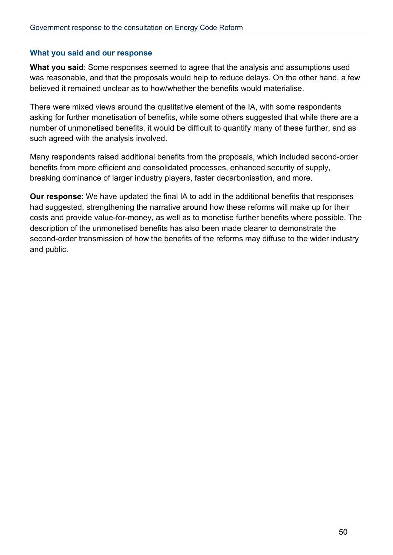#### **What you said and our response**

**What you said**: Some responses seemed to agree that the analysis and assumptions used was reasonable, and that the proposals would help to reduce delays. On the other hand, a few believed it remained unclear as to how/whether the benefits would materialise.

There were mixed views around the qualitative element of the IA, with some respondents asking for further monetisation of benefits, while some others suggested that while there are a number of unmonetised benefits, it would be difficult to quantify many of these further, and as such agreed with the analysis involved.

Many respondents raised additional benefits from the proposals, which included second-order benefits from more efficient and consolidated processes, enhanced security of supply, breaking dominance of larger industry players, faster decarbonisation, and more.

**Our response**: We have updated the final IA to add in the additional benefits that responses had suggested, strengthening the narrative around how these reforms will make up for their costs and provide value-for-money, as well as to monetise further benefits where possible. The description of the unmonetised benefits has also been made clearer to demonstrate the second-order transmission of how the benefits of the reforms may diffuse to the wider industry and public.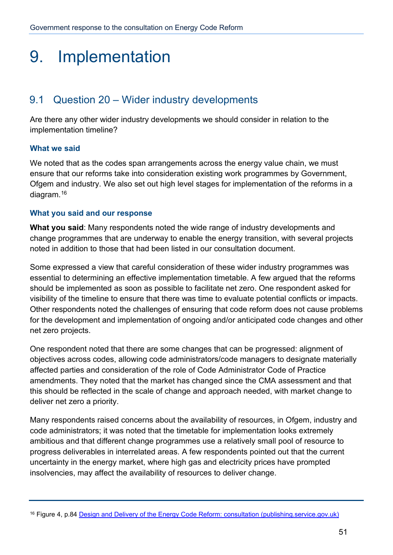## 9. Implementation

## 9.1 Question 20 – Wider industry developments

Are there any other wider industry developments we should consider in relation to the implementation timeline?

## **What we said**

We noted that as the codes span arrangements across the energy value chain, we must ensure that our reforms take into consideration existing work programmes by Government, Ofgem and industry. We also set out high level stages for implementation of the reforms in a diagram.[16](#page-50-0)

### **What you said and our response**

**What you said**: Many respondents noted the wide range of industry developments and change programmes that are underway to enable the energy transition, with several projects noted in addition to those that had been listed in our consultation document.

Some expressed a view that careful consideration of these wider industry programmes was essential to determining an effective implementation timetable. A few argued that the reforms should be implemented as soon as possible to facilitate net zero. One respondent asked for visibility of the timeline to ensure that there was time to evaluate potential conflicts or impacts. Other respondents noted the challenges of ensuring that code reform does not cause problems for the development and implementation of ongoing and/or anticipated code changes and other net zero projects.

One respondent noted that there are some changes that can be progressed: alignment of objectives across codes, allowing code administrators/code managers to designate materially affected parties and consideration of the role of Code Administrator Code of Practice amendments. They noted that the market has changed since the CMA assessment and that this should be reflected in the scale of change and approach needed, with market change to deliver net zero a priority.

Many respondents raised concerns about the availability of resources, in Ofgem, industry and code administrators; it was noted that the timetable for implementation looks extremely ambitious and that different change programmes use a relatively small pool of resource to progress deliverables in interrelated areas. A few respondents pointed out that the current uncertainty in the energy market, where high gas and electricity prices have prompted insolvencies, may affect the availability of resources to deliver change.

<span id="page-50-0"></span><sup>16</sup> Figure 4, p.84 [Design and Delivery of the Energy Code Reform: consultation \(publishing.service.gov.uk\)](https://assets.publishing.service.gov.uk/government/uploads/system/uploads/attachment_data/file/1004005/energy-code-reform-consultation.pdf)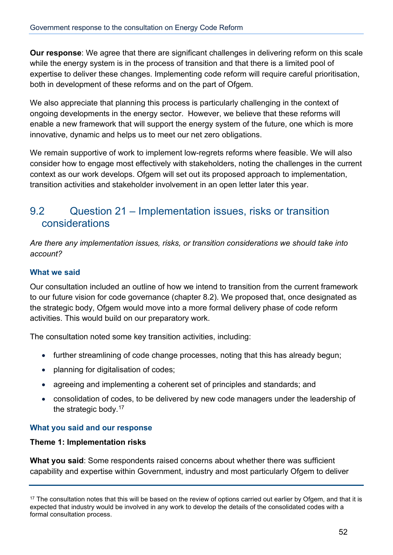**Our response**: We agree that there are significant challenges in delivering reform on this scale while the energy system is in the process of transition and that there is a limited pool of expertise to deliver these changes. Implementing code reform will require careful prioritisation, both in development of these reforms and on the part of Ofgem.

We also appreciate that planning this process is particularly challenging in the context of ongoing developments in the energy sector. However, we believe that these reforms will enable a new framework that will support the energy system of the future, one which is more innovative, dynamic and helps us to meet our net zero obligations.

We remain supportive of work to implement low-regrets reforms where feasible. We will also consider how to engage most effectively with stakeholders, noting the challenges in the current context as our work develops. Ofgem will set out its proposed approach to implementation, transition activities and stakeholder involvement in an open letter later this year.

## 9.2 Question 21 – Implementation issues, risks or transition considerations

*Are there any implementation issues, risks, or transition considerations we should take into account?* 

## **What we said**

Our consultation included an outline of how we intend to transition from the current framework to our future vision for code governance (chapter 8.2). We proposed that, once designated as the strategic body, Ofgem would move into a more formal delivery phase of code reform activities. This would build on our preparatory work.

The consultation noted some key transition activities, including:

- further streamlining of code change processes, noting that this has already begun;
- planning for digitalisation of codes;
- agreeing and implementing a coherent set of principles and standards; and
- consolidation of codes, to be delivered by new code managers under the leadership of the strategic body.<sup>[17](#page-51-0)</sup>

## **What you said and our response**

### **Theme 1: Implementation risks**

**What you said**: Some respondents raised concerns about whether there was sufficient capability and expertise within Government, industry and most particularly Ofgem to deliver

<span id="page-51-0"></span> $17$  The consultation notes that this will be based on the review of options carried out earlier by Ofgem, and that it is expected that industry would be involved in any work to develop the details of the consolidated codes with a formal consultation process.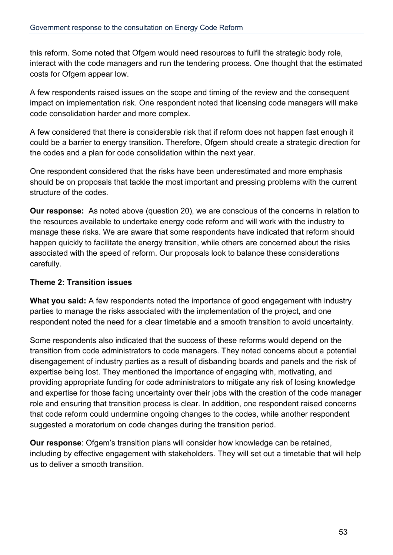this reform. Some noted that Ofgem would need resources to fulfil the strategic body role, interact with the code managers and run the tendering process. One thought that the estimated costs for Ofgem appear low.

A few respondents raised issues on the scope and timing of the review and the consequent impact on implementation risk. One respondent noted that licensing code managers will make code consolidation harder and more complex.

A few considered that there is considerable risk that if reform does not happen fast enough it could be a barrier to energy transition. Therefore, Ofgem should create a strategic direction for the codes and a plan for code consolidation within the next year.

One respondent considered that the risks have been underestimated and more emphasis should be on proposals that tackle the most important and pressing problems with the current structure of the codes.

**Our response:** As noted above (question 20), we are conscious of the concerns in relation to the resources available to undertake energy code reform and will work with the industry to manage these risks. We are aware that some respondents have indicated that reform should happen quickly to facilitate the energy transition, while others are concerned about the risks associated with the speed of reform. Our proposals look to balance these considerations carefully.

## **Theme 2: Transition issues**

**What you said:** A few respondents noted the importance of good engagement with industry parties to manage the risks associated with the implementation of the project, and one respondent noted the need for a clear timetable and a smooth transition to avoid uncertainty.

Some respondents also indicated that the success of these reforms would depend on the transition from code administrators to code managers. They noted concerns about a potential disengagement of industry parties as a result of disbanding boards and panels and the risk of expertise being lost. They mentioned the importance of engaging with, motivating, and providing appropriate funding for code administrators to mitigate any risk of losing knowledge and expertise for those facing uncertainty over their jobs with the creation of the code manager role and ensuring that transition process is clear. In addition, one respondent raised concerns that code reform could undermine ongoing changes to the codes, while another respondent suggested a moratorium on code changes during the transition period.

**Our response**: Ofgem's transition plans will consider how knowledge can be retained, including by effective engagement with stakeholders. They will set out a timetable that will help us to deliver a smooth transition.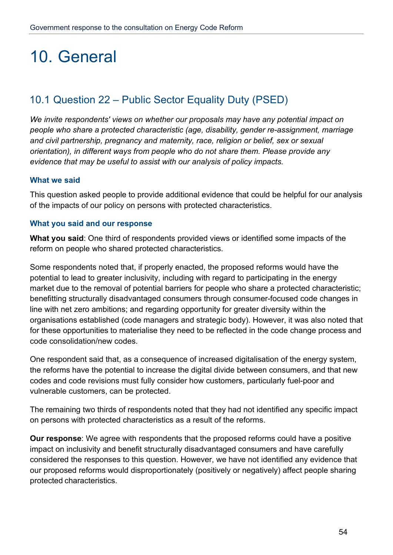## 10. General

## 10.1 Question 22 – Public Sector Equality Duty (PSED)

*We invite respondents' views on whether our proposals may have any potential impact on people who share a protected characteristic (age, disability, gender re-assignment, marriage and civil partnership, pregnancy and maternity, race, religion or belief, sex or sexual orientation), in different ways from people who do not share them. Please provide any evidence that may be useful to assist with our analysis of policy impacts.* 

### **What we said**

This question asked people to provide additional evidence that could be helpful for our analysis of the impacts of our policy on persons with protected characteristics.

### **What you said and our response**

**What you said**: One third of respondents provided views or identified some impacts of the reform on people who shared protected characteristics.

Some respondents noted that, if properly enacted, the proposed reforms would have the potential to lead to greater inclusivity, including with regard to participating in the energy market due to the removal of potential barriers for people who share a protected characteristic; benefitting structurally disadvantaged consumers through consumer-focused code changes in line with net zero ambitions; and regarding opportunity for greater diversity within the organisations established (code managers and strategic body). However, it was also noted that for these opportunities to materialise they need to be reflected in the code change process and code consolidation/new codes.

One respondent said that, as a consequence of increased digitalisation of the energy system, the reforms have the potential to increase the digital divide between consumers, and that new codes and code revisions must fully consider how customers, particularly fuel-poor and vulnerable customers, can be protected.

The remaining two thirds of respondents noted that they had not identified any specific impact on persons with protected characteristics as a result of the reforms.

**Our response**: We agree with respondents that the proposed reforms could have a positive impact on inclusivity and benefit structurally disadvantaged consumers and have carefully considered the responses to this question. However, we have not identified any evidence that our proposed reforms would disproportionately (positively or negatively) affect people sharing protected characteristics.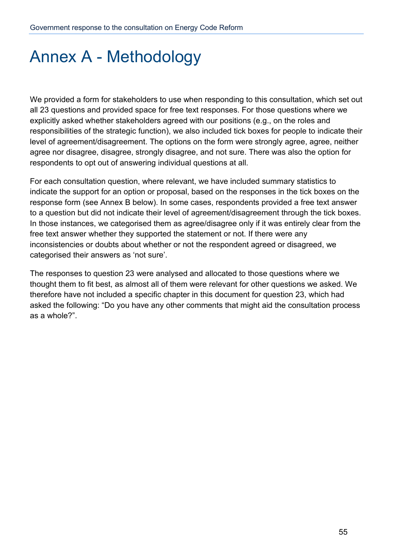## Annex A - Methodology

We provided a form for stakeholders to use when responding to this consultation, which set out all 23 questions and provided space for free text responses. For those questions where we explicitly asked whether stakeholders agreed with our positions (e.g., on the roles and responsibilities of the strategic function), we also included tick boxes for people to indicate their level of agreement/disagreement. The options on the form were strongly agree, agree, neither agree nor disagree, disagree, strongly disagree, and not sure. There was also the option for respondents to opt out of answering individual questions at all.

For each consultation question, where relevant, we have included summary statistics to indicate the support for an option or proposal, based on the responses in the tick boxes on the response form (see Annex B below). In some cases, respondents provided a free text answer to a question but did not indicate their level of agreement/disagreement through the tick boxes. In those instances, we categorised them as agree/disagree only if it was entirely clear from the free text answer whether they supported the statement or not. If there were any inconsistencies or doubts about whether or not the respondent agreed or disagreed, we categorised their answers as 'not sure'.

The responses to question 23 were analysed and allocated to those questions where we thought them to fit best, as almost all of them were relevant for other questions we asked. We therefore have not included a specific chapter in this document for question 23, which had asked the following: "Do you have any other comments that might aid the consultation process as a whole?".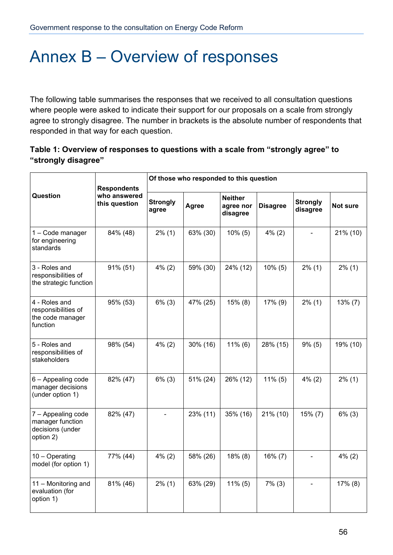## Annex B – Overview of responses

The following table summarises the responses that we received to all consultation questions where people were asked to indicate their support for our proposals on a scale from strongly agree to strongly disagree. The number in brackets is the absolute number of respondents that responded in that way for each question.

## **Table 1: Overview of responses to questions with a scale from "strongly agree" to "strongly disagree"**

|                                                                         | <b>Respondents</b><br>who answered<br>this question | Of those who responded to this question |          |                                         |                 |                              |            |
|-------------------------------------------------------------------------|-----------------------------------------------------|-----------------------------------------|----------|-----------------------------------------|-----------------|------------------------------|------------|
| Question                                                                |                                                     | <b>Strongly</b><br>agree                | Agree    | <b>Neither</b><br>agree nor<br>disagree | <b>Disagree</b> | <b>Strongly</b><br>disagree  | Not sure   |
| 1 - Code manager<br>for engineering<br>standards                        | 84% (48)                                            | $2\%$ (1)                               | 63% (30) | $10\%$ (5)                              | $4\%$ (2)       | $\qquad \qquad \blacksquare$ | 21% (10)   |
| 3 - Roles and<br>responsibilities of<br>the strategic function          | 91% (51)                                            | $4\%$ (2)                               | 59% (30) | 24% (12)                                | $10\%$ (5)      | $2\%$ (1)                    | $2\%$ (1)  |
| 4 - Roles and<br>responsibilities of<br>the code manager<br>function    | 95% (53)                                            | $6\%$ (3)                               | 47% (25) | 15% (8)                                 | 17% (9)         | $2\%$ (1)                    | $13\%$ (7) |
| 5 - Roles and<br>responsibilities of<br>stakeholders                    | 98% (54)                                            | $4\%$ (2)                               | 30% (16) | $11\%$ (6)                              | 28% (15)        | $9\%$ (5)                    | 19% (10)   |
| 6 - Appealing code<br>manager decisions<br>(under option 1)             | 82% (47)                                            | $6\%$ (3)                               | 51% (24) | 26% (12)                                | $11\%$ (5)      | $4\%$ (2)                    | $2\%$ (1)  |
| 7 - Appealing code<br>manager function<br>decisions (under<br>option 2) | 82% (47)                                            |                                         | 23% (11) | 35% (16)                                | 21% (10)        | $15\%$ (7)                   | $6\%$ (3)  |
| 10 - Operating<br>model (for option 1)                                  | 77% (44)                                            | $4\%$ (2)                               | 58% (26) | 18% (8)                                 | $16\% (7)$      | $\overline{\phantom{a}}$     | $4\%$ (2)  |
| 11 - Monitoring and<br>evaluation (for<br>option 1)                     | 81% (46)                                            | $2\%$ (1)                               | 63% (29) | $11\%$ (5)                              | $7\%$ (3)       | $\qquad \qquad \blacksquare$ | 17% (8)    |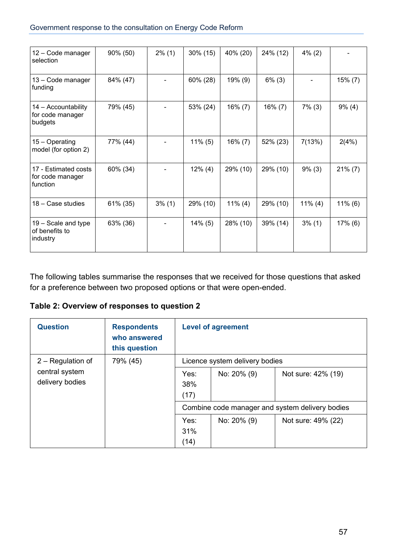| 12 - Code manager<br>selection                       | 90% (50) | $2\%$ (1) | $30\%$ (15) | 40% (20)   | 24% (12)   | $4\%$ (2)                |            |
|------------------------------------------------------|----------|-----------|-------------|------------|------------|--------------------------|------------|
| 13 - Code manager<br>funding                         | 84% (47) |           | 60% (28)    | 19% (9)    | $6\%$ (3)  | $\overline{\phantom{a}}$ | 15% (7)    |
| 14 - Accountability<br>for code manager<br>budgets   | 79% (45) |           | 53% (24)    | 16% (7)    | $16\% (7)$ | $7\%$ (3)                | $9\%$ (4)  |
| 15 – Operating<br>model (for option 2)               | 77% (44) |           | $11\%$ (5)  | $16\% (7)$ | 52% (23)   | 7(13%)                   | 2(4%)      |
| 17 - Estimated costs<br>for code manager<br>function | 60% (34) |           | $12\%$ (4)  | 29% (10)   | 29% (10)   | $9\%$ (3)                | $21\% (7)$ |
| 18 – Case studies                                    | 61% (35) | $3\%$ (1) | 29% (10)    | $11\%$ (4) | 29% (10)   | $11\%$ (4)               | $11\%$ (6) |
| 19 – Scale and type<br>of benefits to<br>industry    | 63% (36) |           | $14\%$ (5)  | 28% (10)   | 39% (14)   | $3\%$ (1)                | 17% (6)    |

The following tables summarise the responses that we received for those questions that asked for a preference between two proposed options or that were open-ended.

**Table 2: Overview of responses to question 2**

| <b>Question</b>                   | <b>Respondents</b><br>who answered<br>this question | <b>Level of agreement</b>                       |             |                    |  |
|-----------------------------------|-----------------------------------------------------|-------------------------------------------------|-------------|--------------------|--|
| 2 - Regulation of<br>79% (45)     |                                                     | Licence system delivery bodies                  |             |                    |  |
| central system<br>delivery bodies |                                                     | Yes:<br>38%<br>(17)                             | No: 20% (9) | Not sure: 42% (19) |  |
|                                   |                                                     | Combine code manager and system delivery bodies |             |                    |  |
|                                   |                                                     | Yes:<br>31%<br>(14)                             | No: 20% (9) | Not sure: 49% (22) |  |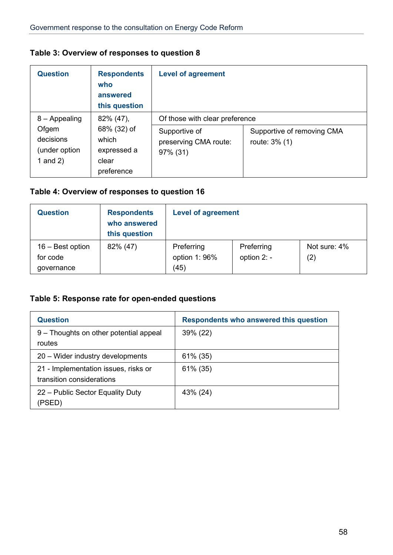## **Table 3: Overview of responses to question 8**

| <b>Question</b>                                                      | <b>Respondents</b><br>who<br>answered<br>this question                  | <b>Level of agreement</b>                                                            |                                             |  |
|----------------------------------------------------------------------|-------------------------------------------------------------------------|--------------------------------------------------------------------------------------|---------------------------------------------|--|
| $8 -$ Appealing<br>Ofgem<br>decisions<br>(under option<br>1 and $2)$ | 82% (47),<br>68% (32) of<br>which<br>expressed a<br>clear<br>preference | Of those with clear preference<br>Supportive of<br>preserving CMA route:<br>97% (31) | Supportive of removing CMA<br>route: 3% (1) |  |

## **Table 4: Overview of responses to question 16**

| <b>Question</b>                | <b>Respondents</b><br>who answered<br>this question | <b>Level of agreement</b>   |                           |                                   |
|--------------------------------|-----------------------------------------------------|-----------------------------|---------------------------|-----------------------------------|
| $16 - Best$ option<br>for code | 82% (47)                                            | Preferring<br>option 1: 96% | Preferring<br>option 2: - | Not sure: 4%<br>$\left( 2\right)$ |
| governance                     |                                                     | (45)                        |                           |                                   |

## **Table 5: Response rate for open-ended questions**

| <b>Question</b>                                                   | <b>Respondents who answered this question</b> |
|-------------------------------------------------------------------|-----------------------------------------------|
| 9 – Thoughts on other potential appeal<br>routes                  | 39% (22)                                      |
| 20 – Wider industry developments                                  | $61\%$ (35)                                   |
| 21 - Implementation issues, risks or<br>transition considerations | $61\%$ (35)                                   |
| 22 – Public Sector Equality Duty<br>(PSED)                        | 43% (24)                                      |